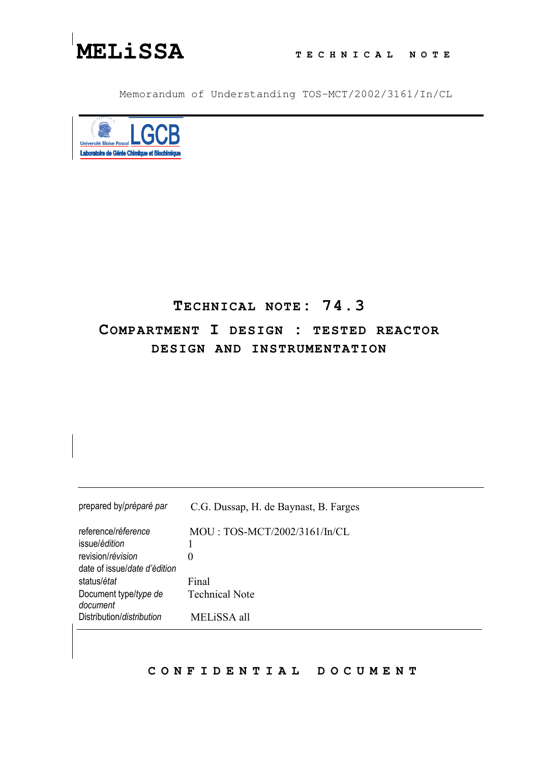

Memorandum of Understanding TOS-MCT/2002/3161/In/CL



## TECHNICAL NOTE: 74.3 COMPARTMENT I DESIGN : TESTED REACTOR DESIGN AND INSTRUMENTATION

| prepared by/préparé par      | C.G. Dussap, H. de Baynast, B. Farges |
|------------------------------|---------------------------------------|
| reference/réference          | MOU: TOS-MCT/2002/3161/In/CL          |
| issue/édition                |                                       |
| revision/révision            | 0                                     |
| date of issue/date d'édition |                                       |
| status/état                  | Final                                 |
| Document type/type de        | <b>Technical Note</b>                 |
| document                     |                                       |
| Distribution/distribution    | MELiSSA all                           |

## CONFIDENTIAL DOCUMENT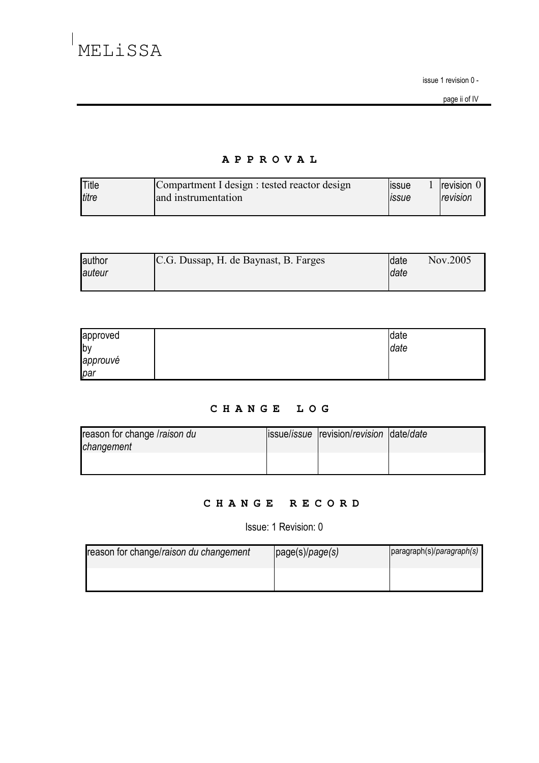issue 1 revision 0 -

page ii of IV

## APPROVAL

| Title | Compartment I design : tested reactor design | <b>ISSUE</b> | <b>Irevision U</b> |
|-------|----------------------------------------------|--------------|--------------------|
| titre | and instrumentation                          | <b>ISSUE</b> | revision           |
|       |                                              |              |                    |

| author | C.G. Dussap, H. de Baynast, B. Farges | date        | Nov.2005 |
|--------|---------------------------------------|-------------|----------|
| auteur |                                       | <b>date</b> |          |
|        |                                       |             |          |

| approved | date |
|----------|------|
| by       | date |
| approuvé |      |
| par      |      |

## CHANGE LOG

| reason for change /raison du | issue/issue revision/revision date/date |  |
|------------------------------|-----------------------------------------|--|
| changement                   |                                         |  |
|                              |                                         |  |
|                              |                                         |  |

## CHANGE RECORD

Issue: 1 Revision: 0

| reason for change/raison du changement | page(s)/page(s) | paragraph(s)/paragraph(s) |
|----------------------------------------|-----------------|---------------------------|
|                                        |                 |                           |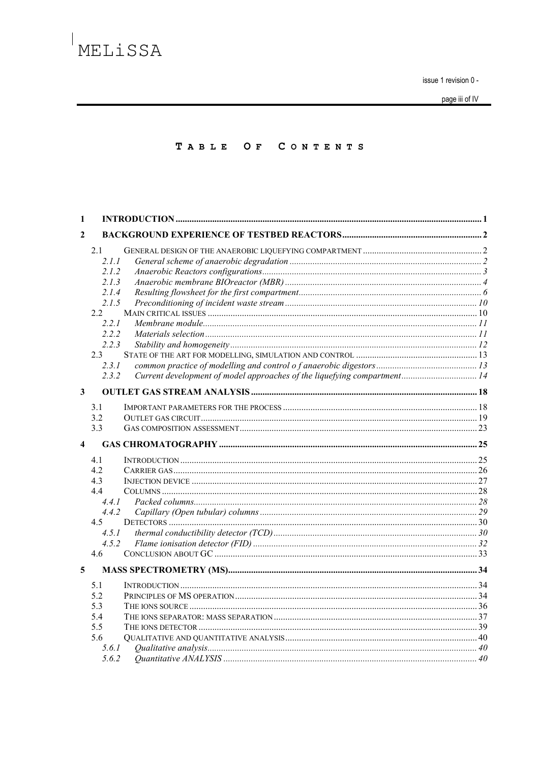issue 1 revision 0 -

page iii of IV

### TABLE OF CONTENTS

| 1            |                                                                                           |                                                                          |  |
|--------------|-------------------------------------------------------------------------------------------|--------------------------------------------------------------------------|--|
| $\mathbf{2}$ |                                                                                           |                                                                          |  |
|              | 2.1<br>2.1.1<br>2.1.2<br>2.1.3<br>2.1.4<br>2.1.5<br>2.2<br>2.2.1<br>2.2.2<br>2.2.3<br>2.3 |                                                                          |  |
|              | 2.3.1<br>2.3.2                                                                            | Current development of model approaches of the liquefying compartment 14 |  |
| $\mathbf{3}$ |                                                                                           |                                                                          |  |
|              | 3.1<br>3.2<br>3.3                                                                         |                                                                          |  |
| 4            |                                                                                           |                                                                          |  |
|              | 4.1<br>4.2<br>4.3<br>4.4                                                                  |                                                                          |  |
|              | 4.4.1<br>4.4.2<br>4.5<br>4.5.1<br>4.5.2<br>4.6                                            |                                                                          |  |
| 5            |                                                                                           |                                                                          |  |
|              | 5.1<br>5.2<br>5.3<br>5.4<br>5.5<br>5.6<br>5.6.1                                           |                                                                          |  |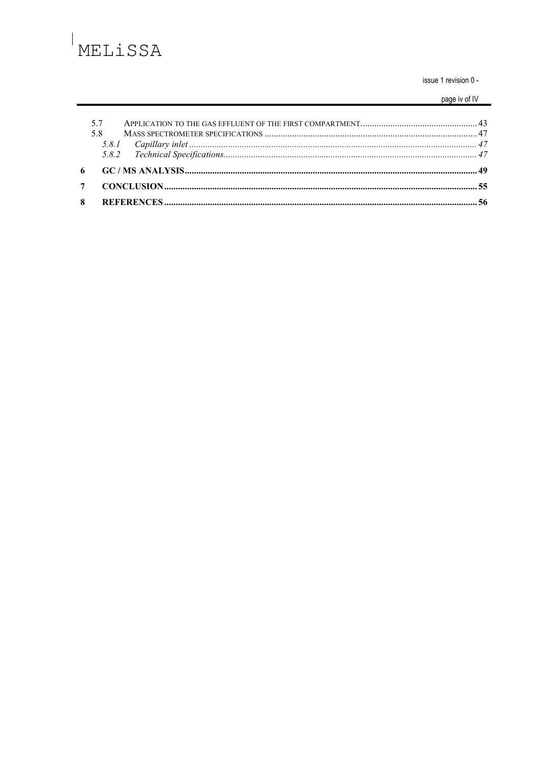$\begin{array}{c} \hline \end{array}$ 

issue 1 revision 0 -

page iv of IV

| 5.7 |  |
|-----|--|
| 58  |  |
|     |  |
|     |  |
|     |  |
|     |  |
|     |  |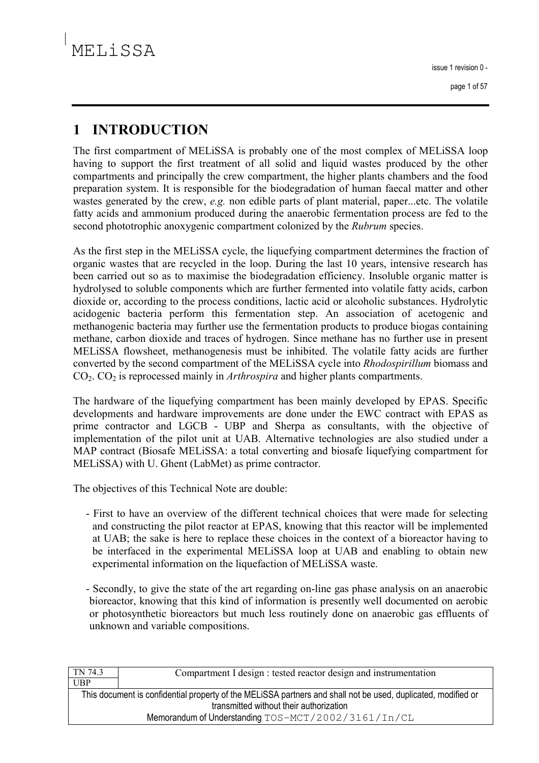### **INTRODUCTION** 1

The first compartment of MELISSA is probably one of the most complex of MELISSA loop having to support the first treatment of all solid and liquid wastes produced by the other compartments and principally the crew compartment, the higher plants chambers and the food preparation system. It is responsible for the biodegradation of human faecal matter and other wastes generated by the crew, e.g. non edible parts of plant material, paper...etc. The volatile fatty acids and ammonium produced during the anaerobic fermentation process are fed to the second phototrophic anoxygenic compartment colonized by the *Rubrum* species.

As the first step in the MELISSA cycle, the liquefying compartment determines the fraction of organic wastes that are recycled in the loop. During the last 10 years, intensive research has been carried out so as to maximise the biodegradation efficiency. Insoluble organic matter is hydrolysed to soluble components which are further fermented into volatile fatty acids, carbon dioxide or, according to the process conditions, lactic acid or alcoholic substances. Hydrolytic acidogenic bacteria perform this fermentation step. An association of acetogenic and methanogenic bacteria may further use the fermentation products to produce biogas containing methane, carbon dioxide and traces of hydrogen. Since methane has no further use in present MELISSA flowsheet, methanogenesis must be inhibited. The volatile fatty acids are further converted by the second compartment of the MELISSA cycle into Rhodospirillum biomass and  $CO<sub>2</sub>$ .  $CO<sub>2</sub>$  is reprocessed mainly in *Arthrospira* and higher plants compartments.

The hardware of the liquefying compartment has been mainly developed by EPAS. Specific developments and hardware improvements are done under the EWC contract with EPAS as prime contractor and LGCB - UBP and Sherpa as consultants, with the objective of implementation of the pilot unit at UAB. Alternative technologies are also studied under a MAP contract (Biosafe MELiSSA: a total converting and biosafe liquefying compartment for MELISSA) with U. Ghent (LabMet) as prime contractor.

The objectives of this Technical Note are double:

- First to have an overview of the different technical choices that were made for selecting and constructing the pilot reactor at EPAS, knowing that this reactor will be implemented at UAB; the sake is here to replace these choices in the context of a bioreactor having to be interfaced in the experimental MELISSA loop at UAB and enabling to obtain new experimental information on the liquefaction of MELISSA waste.
- Secondly, to give the state of the art regarding on-line gas phase analysis on an anaerobic bioreactor, knowing that this kind of information is presently well documented on aerobic or photosynthetic bioreactors but much less routinely done on anaerobic gas effluents of unknown and variable compositions.

| TN 74.3                                                                                                       | Compartment I design : tested reactor design and instrumentation |  |
|---------------------------------------------------------------------------------------------------------------|------------------------------------------------------------------|--|
| <b>UBP</b>                                                                                                    |                                                                  |  |
| This document is confidential property of the MELISSA partners and shall not be used, duplicated, modified or |                                                                  |  |
| transmitted without their authorization                                                                       |                                                                  |  |
| Memorandum of Understanding TOS-MCT/2002/3161/In/CL                                                           |                                                                  |  |
|                                                                                                               |                                                                  |  |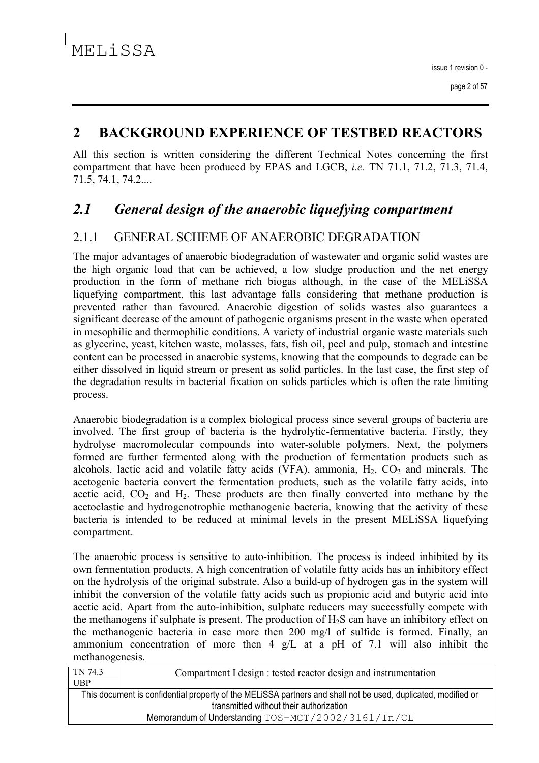#### $\overline{2}$ **BACKGROUND EXPERIENCE OF TESTBED REACTORS**

All this section is written considering the different Technical Notes concerning the first compartment that have been produced by EPAS and LGCB, *i.e.* TN 71.1, 71.2, 71.3, 71.4, 71.5, 74.1, 74.2....

### $2.1$ General design of the anaerobic liquefying compartment

#### $211$ **GENERAL SCHEME OF ANAEROBIC DEGRADATION**

The major advantages of anaerobic biodegradation of wastewater and organic solid wastes are the high organic load that can be achieved, a low sludge production and the net energy production in the form of methane rich biogas although, in the case of the MELISSA liquefying compartment, this last advantage falls considering that methane production is prevented rather than favoured. Anaerobic digestion of solids wastes also guarantees a significant decrease of the amount of pathogenic organisms present in the waste when operated in mesophilic and thermophilic conditions. A variety of industrial organic waste materials such as glycerine, yeast, kitchen waste, molasses, fats, fish oil, peel and pulp, stomach and intestine content can be processed in anaerobic systems, knowing that the compounds to degrade can be either dissolved in liquid stream or present as solid particles. In the last case, the first step of the degradation results in bacterial fixation on solids particles which is often the rate limiting process.

Anaerobic biodegradation is a complex biological process since several groups of bacteria are involved. The first group of bacteria is the hydrolytic-fermentative bacteria. Firstly, they hydrolyse macromolecular compounds into water-soluble polymers. Next, the polymers formed are further fermented along with the production of fermentation products such as alcohols, lactic acid and volatile fatty acids (VFA), ammonia,  $H_2$ ,  $CO_2$  and minerals. The acetogenic bacteria convert the fermentation products, such as the volatile fatty acids, into acetic acid,  $CO<sub>2</sub>$  and  $H<sub>2</sub>$ . These products are then finally converted into methane by the acetoclastic and hydrogenotrophic methanogenic bacteria, knowing that the activity of these bacteria is intended to be reduced at minimal levels in the present MELiSSA liquefying compartment.

The anaerobic process is sensitive to auto-inhibition. The process is indeed inhibited by its own fermentation products. A high concentration of volatile fatty acids has an inhibitory effect on the hydrolysis of the original substrate. Also a build-up of hydrogen gas in the system will inhibit the conversion of the volatile fatty acids such as propionic acid and butyric acid into acetic acid. Apart from the auto-inhibition, sulphate reducers may successfully compete with the methanogens if sulphate is present. The production of H<sub>2</sub>S can have an inhibitory effect on the methanogenic bacteria in case more then 200 mg/l of sulfide is formed. Finally, an ammonium concentration of more then  $4 \text{ g/L}$  at a pH of 7.1 will also inhibit the methanogenesis.

| TN 74.3                                                                                                       | Compartment I design : tested reactor design and instrumentation |  |
|---------------------------------------------------------------------------------------------------------------|------------------------------------------------------------------|--|
| UBP                                                                                                           |                                                                  |  |
| This document is confidential property of the MELISSA partners and shall not be used, duplicated, modified or |                                                                  |  |
| transmitted without their authorization                                                                       |                                                                  |  |
| Memorandum of Understanding TOS-MCT/2002/3161/In/CL                                                           |                                                                  |  |
|                                                                                                               |                                                                  |  |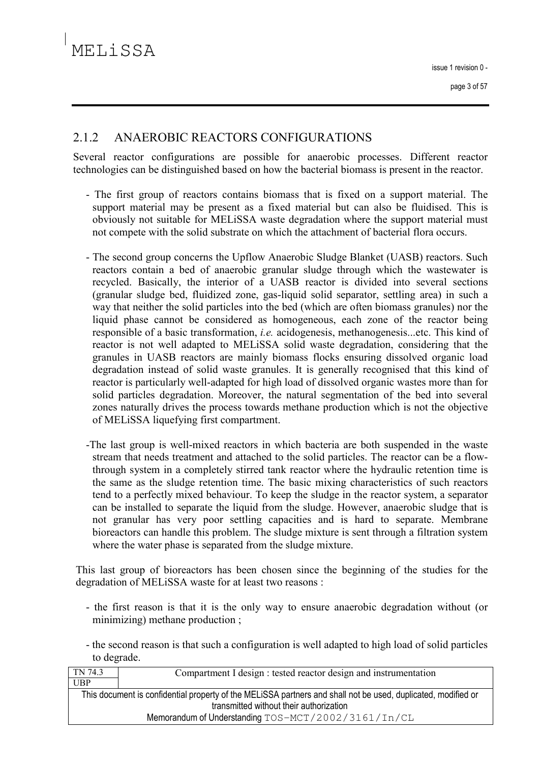#### $2.12$ ANAEROBIC REACTORS CONFIGURATIONS

Several reactor configurations are possible for anaerobic processes. Different reactor technologies can be distinguished based on how the bacterial biomass is present in the reactor.

- The first group of reactors contains biomass that is fixed on a support material. The support material may be present as a fixed material but can also be fluidised. This is obviously not suitable for MELISSA waste degradation where the support material must not compete with the solid substrate on which the attachment of bacterial flora occurs.
- The second group concerns the Upflow Anaerobic Sludge Blanket (UASB) reactors. Such reactors contain a bed of anaerobic granular sludge through which the wastewater is recycled. Basically, the interior of a UASB reactor is divided into several sections (granular sludge bed, fluidized zone, gas-liquid solid separator, settling area) in such a way that neither the solid particles into the bed (which are often biomass granules) nor the liquid phase cannot be considered as homogeneous, each zone of the reactor being responsible of a basic transformation, *i.e.* acidogenesis, methanogenesis...etc. This kind of reactor is not well adapted to MELISSA solid waste degradation, considering that the granules in UASB reactors are mainly biomass flocks ensuring dissolved organic load degradation instead of solid waste granules. It is generally recognised that this kind of reactor is particularly well-adapted for high load of dissolved organic wastes more than for solid particles degradation. Moreover, the natural segmentation of the bed into several zones naturally drives the process towards methane production which is not the objective of MELISSA liquefying first compartment.
- -The last group is well-mixed reactors in which bacteria are both suspended in the waste stream that needs treatment and attached to the solid particles. The reactor can be a flowthrough system in a completely stirred tank reactor where the hydraulic retention time is the same as the sludge retention time. The basic mixing characteristics of such reactors tend to a perfectly mixed behaviour. To keep the sludge in the reactor system, a separator can be installed to separate the liquid from the sludge. However, anaerobic sludge that is not granular has very poor settling capacities and is hard to separate. Membrane bioreactors can handle this problem. The sludge mixture is sent through a filtration system where the water phase is separated from the sludge mixture.

This last group of bioreactors has been chosen since the beginning of the studies for the degradation of MELISSA waste for at least two reasons:

- the first reason is that it is the only way to ensure anaerobic degradation without (or minimizing) methane production;
- the second reason is that such a configuration is well adapted to high load of solid particles to degrade.

| TN 74.3                                                                                                       | Compartment I design : tested reactor design and instrumentation |  |
|---------------------------------------------------------------------------------------------------------------|------------------------------------------------------------------|--|
| <b>UBP</b>                                                                                                    |                                                                  |  |
| This document is confidential property of the MELISSA partners and shall not be used, duplicated, modified or |                                                                  |  |
| transmitted without their authorization                                                                       |                                                                  |  |
| Memorandum of Understanding TOS-MCT/2002/3161/In/CL                                                           |                                                                  |  |
|                                                                                                               |                                                                  |  |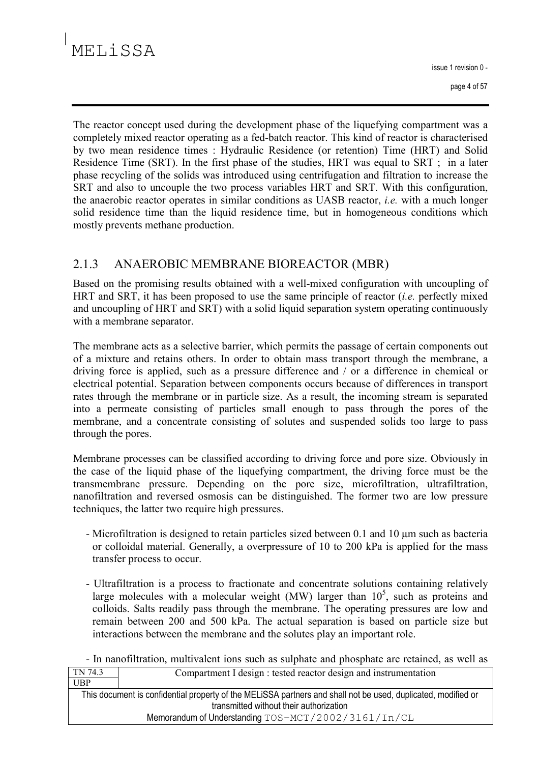issue 1 revision 0 -

The reactor concept used during the development phase of the liquefying compartment was a completely mixed reactor operating as a fed-batch reactor. This kind of reactor is characterised by two mean residence times: Hydraulic Residence (or retention) Time (HRT) and Solid Residence Time (SRT). In the first phase of the studies, HRT was equal to SRT; in a later phase recycling of the solids was introduced using centrifugation and filtration to increase the SRT and also to uncouple the two process variables HRT and SRT. With this configuration, the anaerobic reactor operates in similar conditions as UASB reactor, *i.e.* with a much longer solid residence time than the liquid residence time, but in homogeneous conditions which mostly prevents methane production.

#### $2.1.3$ ANAEROBIC MEMBRANE BIOREACTOR (MBR)

Based on the promising results obtained with a well-mixed configuration with uncoupling of HRT and SRT, it has been proposed to use the same principle of reactor  $(i.e.$  perfectly mixed and uncoupling of HRT and SRT) with a solid liquid separation system operating continuously with a membrane separator.

The membrane acts as a selective barrier, which permits the passage of certain components out of a mixture and retains others. In order to obtain mass transport through the membrane, a driving force is applied, such as a pressure difference and / or a difference in chemical or electrical potential. Separation between components occurs because of differences in transport rates through the membrane or in particle size. As a result, the incoming stream is separated into a permeate consisting of particles small enough to pass through the pores of the membrane, and a concentrate consisting of solutes and suspended solids too large to pass through the pores.

Membrane processes can be classified according to driving force and pore size. Obviously in the case of the liquid phase of the liquefying compartment, the driving force must be the transmembrane pressure. Depending on the pore size, microfiltration, ultrafiltration, nanofiltration and reversed osmosis can be distinguished. The former two are low pressure techniques, the latter two require high pressures.

- Microfiltration is designed to retain particles sized between  $0.1$  and  $10 \mu m$  such as bacteria or colloidal material. Generally, a overpressure of 10 to 200 kPa is applied for the mass transfer process to occur.
- Ultrafiltration is a process to fractionate and concentrate solutions containing relatively large molecules with a molecular weight (MW) larger than  $10^5$ , such as proteins and colloids. Salts readily pass through the membrane. The operating pressures are low and remain between 200 and 500 kPa. The actual separation is based on particle size but interactions between the membrane and the solutes play an important role.

- In nanofiltration, multivalent ions such as sulphate and phosphate are retained, as well as  $TN$  74 3 Compartment L design : tested reactor design and instrumentation ⊤

| .                                                                                                             | Comparinent I design . tested reactor design and msu amentation |
|---------------------------------------------------------------------------------------------------------------|-----------------------------------------------------------------|
| UBP                                                                                                           |                                                                 |
| This document is confidential property of the MELISSA partners and shall not be used, duplicated, modified or |                                                                 |
| transmitted without their authorization                                                                       |                                                                 |
|                                                                                                               | Memorandum of Understanding TOS-MCT/2002/3161/In/CL             |
|                                                                                                               |                                                                 |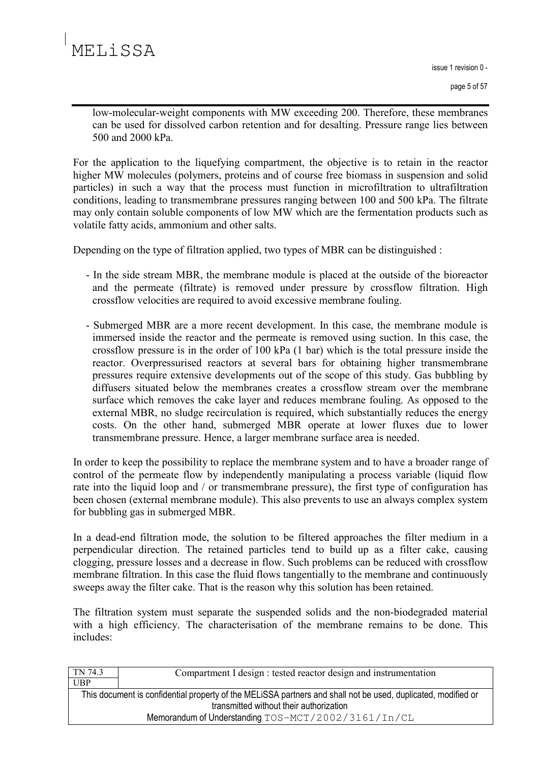issue 1 revision 0 -

page 5 of 57

low-molecular-weight components with MW exceeding 200. Therefore, these membranes can be used for dissolved carbon retention and for desalting. Pressure range lies between 500 and 2000 kPa

For the application to the liquefying compartment, the objective is to retain in the reactor higher MW molecules (polymers, proteins and of course free biomass in suspension and solid particles) in such a way that the process must function in microfiltration to ultrafiltration conditions, leading to transmembrane pressures ranging between 100 and 500 kPa. The filtrate may only contain soluble components of low MW which are the fermentation products such as volatile fatty acids, ammonium and other salts.

Depending on the type of filtration applied, two types of MBR can be distinguished:

- In the side stream MBR, the membrane module is placed at the outside of the bioreactor and the permeate (filtrate) is removed under pressure by crossflow filtration. High crossflow velocities are required to avoid excessive membrane fouling.
- Submerged MBR are a more recent development. In this case, the membrane module is immersed inside the reactor and the permeate is removed using suction. In this case, the crossflow pressure is in the order of 100 kPa (1 bar) which is the total pressure inside the reactor. Overpressurised reactors at several bars for obtaining higher transmembrane pressures require extensive developments out of the scope of this study. Gas bubbling by diffusers situated below the membranes creates a crossflow stream over the membrane surface which removes the cake layer and reduces membrane fouling. As opposed to the external MBR, no sludge recirculation is required, which substantially reduces the energy costs. On the other hand, submerged MBR operate at lower fluxes due to lower transmembrane pressure. Hence, a larger membrane surface area is needed.

In order to keep the possibility to replace the membrane system and to have a broader range of control of the permeate flow by independently manipulating a process variable (liquid flow rate into the liquid loop and / or transmembrane pressure), the first type of configuration has been chosen (external membrane module). This also prevents to use an always complex system for bubbling gas in submerged MBR.

In a dead-end filtration mode, the solution to be filtered approaches the filter medium in a perpendicular direction. The retained particles tend to build up as a filter cake, causing clogging, pressure losses and a decrease in flow. Such problems can be reduced with crossflow membrane filtration. In this case the fluid flows tangentially to the membrane and continuously sweeps away the filter cake. That is the reason why this solution has been retained.

The filtration system must separate the suspended solids and the non-biodegraded material with a high efficiency. The characterisation of the membrane remains to be done. This includes:

| TN 74.3                                                                                                                                                  | Compartment I design : tested reactor design and instrumentation |
|----------------------------------------------------------------------------------------------------------------------------------------------------------|------------------------------------------------------------------|
| UBP                                                                                                                                                      |                                                                  |
| This document is confidential property of the MELISSA partners and shall not be used, duplicated, modified or<br>transmitted without their authorization |                                                                  |
| Memorandum of Understanding TOS-MCT/2002/3161/In/CL                                                                                                      |                                                                  |
|                                                                                                                                                          |                                                                  |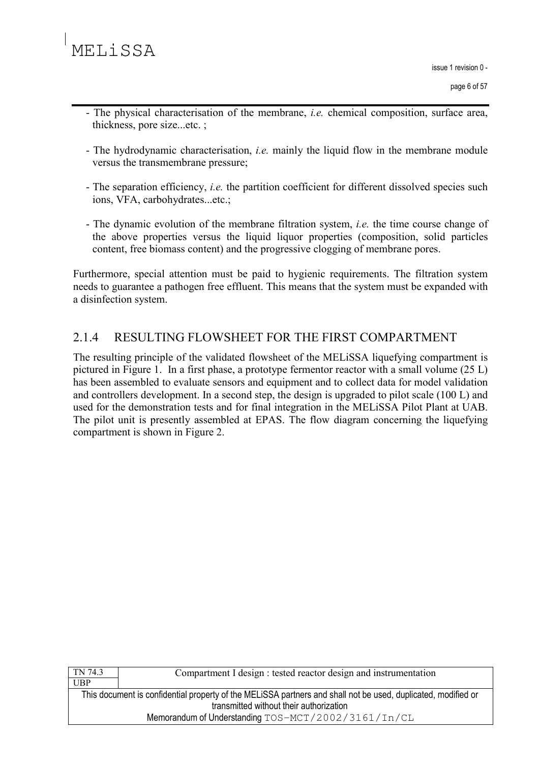- The physical characterisation of the membrane, *i.e.* chemical composition, surface area, thickness, pore size...etc.:
- The hydrodynamic characterisation, *i.e.* mainly the liquid flow in the membrane module versus the transmembrane pressure;
- The separation efficiency, *i.e.* the partition coefficient for different dissolved species such ions, VFA, carbohydrates...etc.;
- The dynamic evolution of the membrane filtration system, *i.e.* the time course change of the above properties versus the liquid liquor properties (composition, solid particles content, free biomass content) and the progressive clogging of membrane pores.

Furthermore, special attention must be paid to hygienic requirements. The filtration system needs to guarantee a pathogen free effluent. This means that the system must be expanded with a disinfection system.

#### 2.14 RESULTING FLOWSHEET FOR THE FIRST COMPARTMENT

The resulting principle of the validated flowsheet of the MELISSA liquefying compartment is pictured in Figure 1. In a first phase, a prototype fermentor reactor with a small volume (25 L) has been assembled to evaluate sensors and equipment and to collect data for model validation and controllers development. In a second step, the design is upgraded to pilot scale (100 L) and used for the demonstration tests and for final integration in the MELISSA Pilot Plant at UAB. The pilot unit is presently assembled at EPAS. The flow diagram concerning the liquefying compartment is shown in Figure 2.

| TN 74.3                                                                                                       | Compartment I design : tested reactor design and instrumentation |
|---------------------------------------------------------------------------------------------------------------|------------------------------------------------------------------|
| <b>UBP</b>                                                                                                    |                                                                  |
| This document is confidential property of the MELISSA partners and shall not be used, duplicated, modified or |                                                                  |
| transmitted without their authorization                                                                       |                                                                  |
| Memorandum of Understanding TOS-MCT/2002/3161/In/CL                                                           |                                                                  |
|                                                                                                               |                                                                  |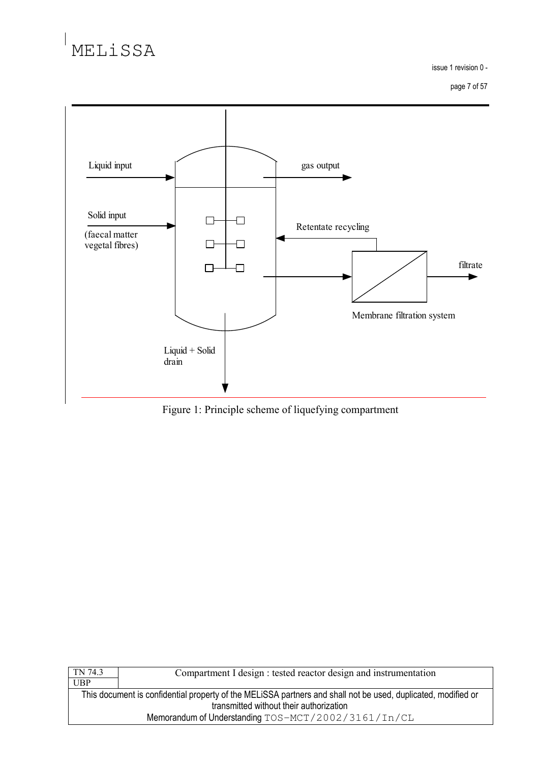issue 1 revision 0 -

page 7 of 57



Figure 1: Principle scheme of liquefying compartment

| TN 74.3                                             | Compartment I design : tested reactor design and instrumentation                                              |
|-----------------------------------------------------|---------------------------------------------------------------------------------------------------------------|
| UBP                                                 |                                                                                                               |
|                                                     | This document is confidential property of the MELISSA partners and shall not be used, duplicated, modified or |
| transmitted without their authorization             |                                                                                                               |
| Memorandum of Understanding TOS-MCT/2002/3161/In/CL |                                                                                                               |
|                                                     |                                                                                                               |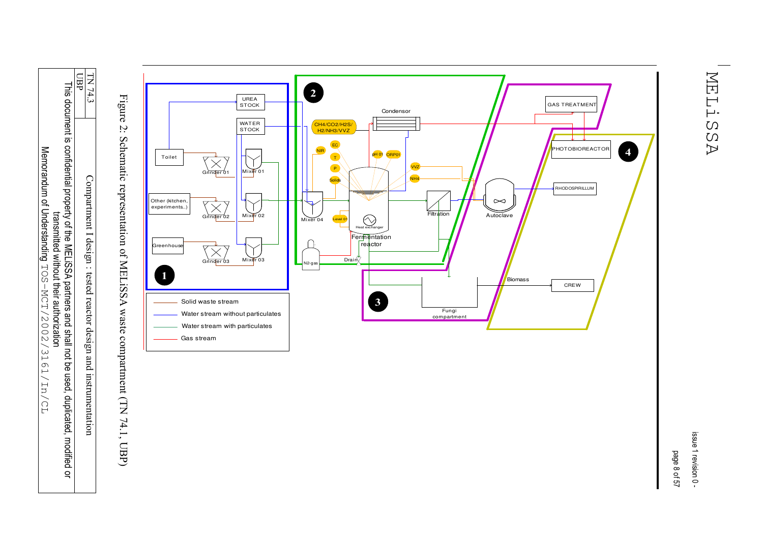**UBP** This document is confidential property of the MELISSA partners and shall not be used, duplicated, modif ied or transmitted without their authorization Memorandum of Understanding TOS-MCT/2002/3161/In/CL

TN 74.3 Compartment I design : tested reactor design and instrumentation

Figure Ń. Schematic representation of YIELISSA waste compartment (TN 74.1, UBP)



MELiSSA

issue 1 revision 0-

page 8 of 57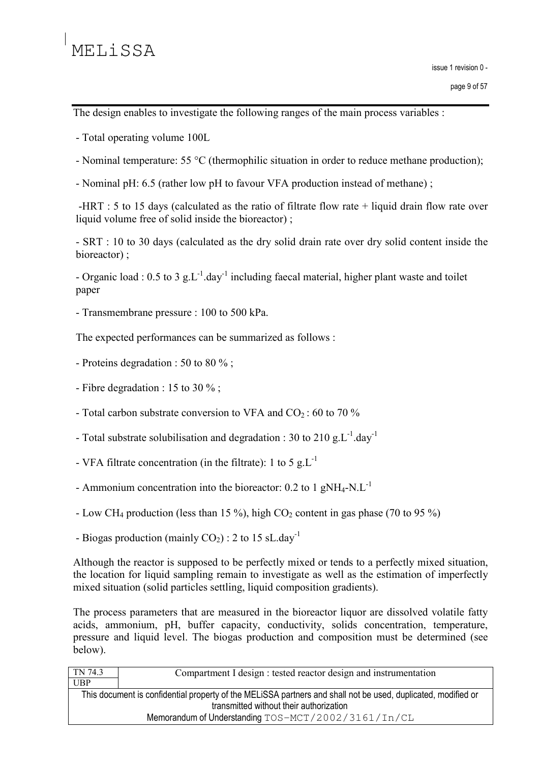The design enables to investigate the following ranges of the main process variables :

- Total operating volume 100L
- Nominal temperature: 55  $^{\circ}$ C (thermophilic situation in order to reduce methane production);
- Nominal pH: 6.5 (rather low pH to favour VFA production instead of methane);

-HRT : 5 to 15 days (calculated as the ratio of filtrate flow rate  $+$  liquid drain flow rate over liquid volume free of solid inside the bioreactor):

- SRT : 10 to 30 days (calculated as the dry solid drain rate over dry solid content inside the bioreactor):

- Organic load : 0.5 to 3 g.L<sup>-1</sup> day<sup>-1</sup> including faecal material, higher plant waste and toilet paper

- Transmembrane pressure : 100 to 500 kPa.

The expected performances can be summarized as follows :

- Proteins degradation : 50 to 80  $\%$  :
- Fibre degradation : 15 to 30  $\%$ ;
- Total carbon substrate conversion to VFA and  $CO_2$ : 60 to 70 %
- Total substrate solubilisation and degradation : 30 to 210 g.L<sup>-1</sup> day<sup>-1</sup>
- VFA filtrate concentration (in the filtrate): 1 to 5  $g.L^{-1}$
- Ammonium concentration into the bioreactor:  $0.2$  to 1 gNH<sub>4</sub>-N.L<sup>-1</sup>
- Low CH<sub>4</sub> production (less than 15 %), high CO<sub>2</sub> content in gas phase (70 to 95 %)
- Biogas production (mainly  $CO<sub>2</sub>$ ) : 2 to 15 sL day<sup>-1</sup>

Although the reactor is supposed to be perfectly mixed or tends to a perfectly mixed situation, the location for liquid sampling remain to investigate as well as the estimation of imperfectly mixed situation (solid particles settling, liquid composition gradients).

The process parameters that are measured in the bioreactor liquor are dissolved volatile fatty acids, ammonium, pH, buffer capacity, conductivity, solids concentration, temperature, pressure and liquid level. The biogas production and composition must be determined (see below).

| TN 74.3                                                                                                                                                  | Compartment I design : tested reactor design and instrumentation |
|----------------------------------------------------------------------------------------------------------------------------------------------------------|------------------------------------------------------------------|
| UBP                                                                                                                                                      |                                                                  |
| This document is confidential property of the MELISSA partners and shall not be used, duplicated, modified or<br>transmitted without their authorization |                                                                  |
| Memorandum of Understanding TOS-MCT/2002/3161/In/CL                                                                                                      |                                                                  |
|                                                                                                                                                          |                                                                  |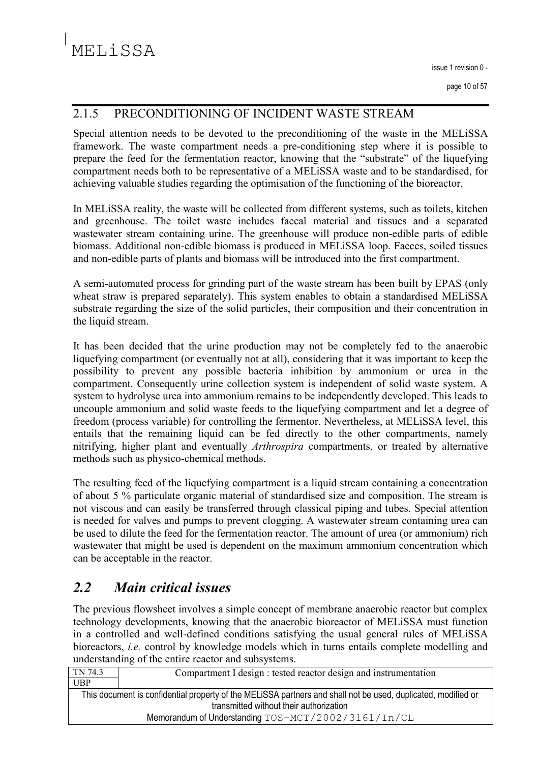#### 2.1.5 PRECONDITIONING OF INCIDENT WASTE STREAM

Special attention needs to be devoted to the preconditioning of the waste in the MELiSSA framework. The waste compartment needs a pre-conditioning step where it is possible to prepare the feed for the fermentation reactor, knowing that the "substrate" of the liquefying compartment needs both to be representative of a MELISSA waste and to be standardised, for achieving valuable studies regarding the optimisation of the functioning of the bioreactor.

In MELISSA reality, the waste will be collected from different systems, such as toilets, kitchen and greenhouse. The toilet waste includes faecal material and tissues and a separated wastewater stream containing urine. The greenhouse will produce non-edible parts of edible biomass. Additional non-edible biomass is produced in MELiSSA loop. Faeces, soiled tissues and non-edible parts of plants and biomass will be introduced into the first compartment.

A semi-automated process for grinding part of the waste stream has been built by EPAS (only wheat straw is prepared separately). This system enables to obtain a standardised MELiSSA substrate regarding the size of the solid particles, their composition and their concentration in the liquid stream.

It has been decided that the urine production may not be completely fed to the anaerobic liquefying compartment (or eventually not at all), considering that it was important to keep the possibility to prevent any possible bacteria inhibition by ammonium or urea in the compartment. Consequently urine collection system is independent of solid waste system. A system to hydrolyse urea into ammonium remains to be independently developed. This leads to uncouple ammonium and solid waste feeds to the liquefying compartment and let a degree of freedom (process variable) for controlling the fermentor. Nevertheless, at MELiSSA level, this entails that the remaining liquid can be fed directly to the other compartments, namely nitrifying, higher plant and eventually *Arthrospira* compartments, or treated by alternative methods such as physico-chemical methods.

The resulting feed of the liquefying compartment is a liquid stream containing a concentration of about 5 % particulate organic material of standardised size and composition. The stream is not viscous and can easily be transferred through classical piping and tubes. Special attention is needed for valves and pumps to prevent clogging. A wastewater stream containing urea can be used to dilute the feed for the fermentation reactor. The amount of urea (or ammonium) rich wastewater that might be used is dependent on the maximum ammonium concentration which can be acceptable in the reactor.

#### $2.2$ **Main critical issues**

The previous flowsheet involves a simple concept of membrane anaerobic reactor but complex technology developments, knowing that the anaerobic bioreactor of MELiSSA must function in a controlled and well-defined conditions satisfying the usual general rules of MELiSSA bioreactors, *i.e.* control by knowledge models which in turns entails complete modelling and understanding of the entire reactor and subsystems.

| TN 74.3                                                                                                                                                                                                         | Compartment I design : tested reactor design and instrumentation |
|-----------------------------------------------------------------------------------------------------------------------------------------------------------------------------------------------------------------|------------------------------------------------------------------|
| UBP                                                                                                                                                                                                             |                                                                  |
| This document is confidential property of the MELISSA partners and shall not be used, duplicated, modified or<br>transmitted without their authorization<br>Memorandum of Understanding TOS-MCT/2002/3161/In/CL |                                                                  |
|                                                                                                                                                                                                                 |                                                                  |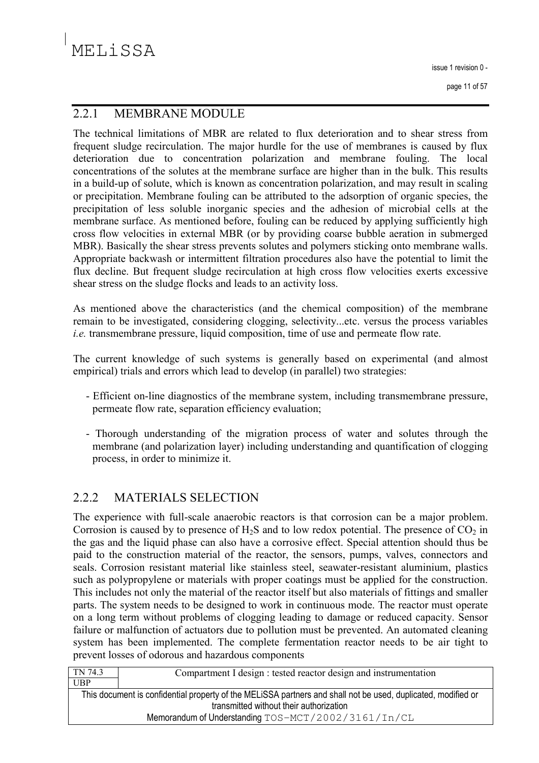issue 1 revision 0 -

page 11 of 57

#### $2.2.1$ **MEMBRANE MODULE**

The technical limitations of MBR are related to flux deterioration and to shear stress from frequent sludge recirculation. The major hurdle for the use of membranes is caused by flux deterioration due to concentration polarization and membrane fouling. The local concentrations of the solutes at the membrane surface are higher than in the bulk. This results in a build-up of solute, which is known as concentration polarization, and may result in scaling or precipitation. Membrane fouling can be attributed to the adsorption of organic species, the precipitation of less soluble inorganic species and the adhesion of microbial cells at the membrane surface. As mentioned before, fouling can be reduced by applying sufficiently high cross flow velocities in external MBR (or by providing coarse bubble aeration in submerged MBR). Basically the shear stress prevents solutes and polymers sticking onto membrane walls. Appropriate backwash or intermittent filtration procedures also have the potential to limit the flux decline. But frequent sludge recirculation at high cross flow velocities exerts excessive shear stress on the sludge flocks and leads to an activity loss.

As mentioned above the characteristics (and the chemical composition) of the membrane remain to be investigated, considering clogging, selectivity...etc. versus the process variables *i.e.* transmembrane pressure, liquid composition, time of use and permeate flow rate.

The current knowledge of such systems is generally based on experimental (and almost empirical) trials and errors which lead to develop (in parallel) two strategies:

- Efficient on-line diagnostics of the membrane system, including transmembrane pressure, permeate flow rate, separation efficiency evaluation;
- Thorough understanding of the migration process of water and solutes through the membrane (and polarization layer) including understanding and quantification of clogging process, in order to minimize it.

#### $2.2.2$ **MATERIALS SELECTION**

The experience with full-scale anaerobic reactors is that corrosion can be a major problem. Corrosion is caused by to presence of  $H_2S$  and to low redox potential. The presence of  $CO_2$  in the gas and the liquid phase can also have a corrosive effect. Special attention should thus be paid to the construction material of the reactor, the sensors, pumps, valves, connectors and seals. Corrosion resistant material like stainless steel, seawater-resistant aluminium, plastics such as polypropylene or materials with proper coatings must be applied for the construction. This includes not only the material of the reactor itself but also materials of fittings and smaller parts. The system needs to be designed to work in continuous mode. The reactor must operate on a long term without problems of clogging leading to damage or reduced capacity. Sensor failure or malfunction of actuators due to pollution must be prevented. An automated cleaning system has been implemented. The complete fermentation reactor needs to be air tight to prevent losses of odorous and hazardous components

| TN 74.3                                                                                                                                                  | Compartment I design : tested reactor design and instrumentation |
|----------------------------------------------------------------------------------------------------------------------------------------------------------|------------------------------------------------------------------|
| UBP                                                                                                                                                      |                                                                  |
| This document is confidential property of the MELISSA partners and shall not be used, duplicated, modified or<br>transmitted without their authorization |                                                                  |
| Memorandum of Understanding TOS-MCT/2002/3161/In/CL                                                                                                      |                                                                  |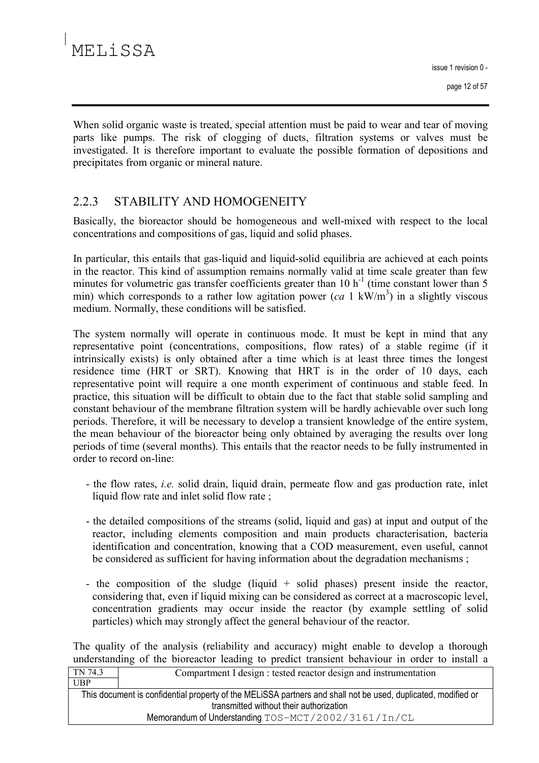When solid organic waste is treated, special attention must be paid to wear and tear of moving parts like pumps. The risk of clogging of ducts, filtration systems or valves must be investigated. It is therefore important to evaluate the possible formation of depositions and precipitates from organic or mineral nature.

#### 2.2.3 STABILITY AND HOMOGENEITY

Basically, the bioreactor should be homogeneous and well-mixed with respect to the local concentrations and compositions of gas, liquid and solid phases.

In particular, this entails that gas-liquid and liquid-solid equilibria are achieved at each points in the reactor. This kind of assumption remains normally valid at time scale greater than few minutes for volumetric gas transfer coefficients greater than  $10 h<sup>-1</sup>$  (time constant lower than 5 min) which corresponds to a rather low agitation power  $(ca\,1\,k\text{W/m}^3)$  in a slightly viscous medium. Normally, these conditions will be satisfied.

The system normally will operate in continuous mode. It must be kept in mind that any representative point (concentrations, compositions, flow rates) of a stable regime (if it intrinsically exists) is only obtained after a time which is at least three times the longest residence time (HRT or SRT). Knowing that HRT is in the order of 10 days, each representative point will require a one month experiment of continuous and stable feed. In practice, this situation will be difficult to obtain due to the fact that stable solid sampling and constant behaviour of the membrane filtration system will be hardly achievable over such long periods. Therefore, it will be necessary to develop a transient knowledge of the entire system, the mean behaviour of the bioreactor being only obtained by averaging the results over long periods of time (several months). This entails that the reactor needs to be fully instrumented in order to record on-line:

- the flow rates, *i.e.* solid drain, liquid drain, permeate flow and gas production rate, inlet liquid flow rate and inlet solid flow rate;
- the detailed compositions of the streams (solid, liquid and gas) at input and output of the reactor, including elements composition and main products characterisation, bacteria identification and concentration, knowing that a COD measurement, even useful, cannot be considered as sufficient for having information about the degradation mechanisms;
- the composition of the sludge (liquid  $+$  solid phases) present inside the reactor, considering that, even if liquid mixing can be considered as correct at a macroscopic level, concentration gradients may occur inside the reactor (by example settling of solid particles) which may strongly affect the general behaviour of the reactor.

The quality of the analysis (reliability and accuracy) might enable to develop a thorough understanding of the bioreactor leading to predict transient behaviour in order to install a TN 743 Compartment L design : tested reactor design and instrumentation ⊤

| - 111 1 T.J                                                                                                   | Compariment I design . tested reactor design and msu unicitation |
|---------------------------------------------------------------------------------------------------------------|------------------------------------------------------------------|
| <b>UBP</b>                                                                                                    |                                                                  |
| This document is confidential property of the MELISSA partners and shall not be used, duplicated, modified or |                                                                  |
| transmitted without their authorization                                                                       |                                                                  |
| Memorandum of Understanding TOS-MCT/2002/3161/In/CL                                                           |                                                                  |
|                                                                                                               |                                                                  |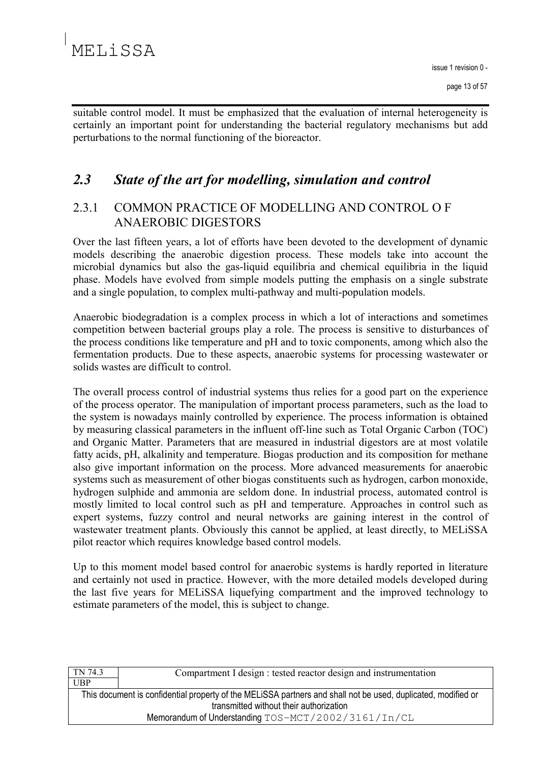suitable control model. It must be emphasized that the evaluation of internal heterogeneity is certainly an important point for understanding the bacterial regulatory mechanisms but add perturbations to the normal functioning of the bioreactor.

#### $2.3$ State of the art for modelling, simulation and control

### $2.3.1$ COMMON PRACTICE OF MODELLING AND CONTROL OF **ANAEROBIC DIGESTORS**

Over the last fifteen years, a lot of efforts have been devoted to the development of dynamic models describing the anaerobic digestion process. These models take into account the microbial dynamics but also the gas-liquid equilibria and chemical equilibria in the liquid phase. Models have evolved from simple models putting the emphasis on a single substrate and a single population, to complex multi-pathway and multi-population models.

Anaerobic biodegradation is a complex process in which a lot of interactions and sometimes competition between bacterial groups play a role. The process is sensitive to disturbances of the process conditions like temperature and pH and to toxic components, among which also the fermentation products. Due to these aspects, anaerobic systems for processing wastewater or solids wastes are difficult to control

The overall process control of industrial systems thus relies for a good part on the experience of the process operator. The manipulation of important process parameters, such as the load to the system is nowadays mainly controlled by experience. The process information is obtained by measuring classical parameters in the influent off-line such as Total Organic Carbon (TOC) and Organic Matter. Parameters that are measured in industrial digestors are at most volatile fatty acids, pH, alkalinity and temperature. Biogas production and its composition for methane also give important information on the process. More advanced measurements for anaerobic systems such as measurement of other biogas constituents such as hydrogen, carbon monoxide, hydrogen sulphide and ammonia are seldom done. In industrial process, automated control is mostly limited to local control such as pH and temperature. Approaches in control such as expert systems, fuzzy control and neural networks are gaining interest in the control of wastewater treatment plants. Obviously this cannot be applied, at least directly, to MELiSSA pilot reactor which requires knowledge based control models.

Up to this moment model based control for anaerobic systems is hardly reported in literature and certainly not used in practice. However, with the more detailed models developed during the last five years for MELISSA liquefying compartment and the improved technology to estimate parameters of the model, this is subject to change.

| TN 74.3                                                                                                       | Compartment I design : tested reactor design and instrumentation |  |
|---------------------------------------------------------------------------------------------------------------|------------------------------------------------------------------|--|
| UBP                                                                                                           |                                                                  |  |
| This document is confidential property of the MELISSA partners and shall not be used, duplicated, modified or |                                                                  |  |
| transmitted without their authorization                                                                       |                                                                  |  |
| Memorandum of Understanding TOS-MCT/2002/3161/In/CL                                                           |                                                                  |  |
|                                                                                                               |                                                                  |  |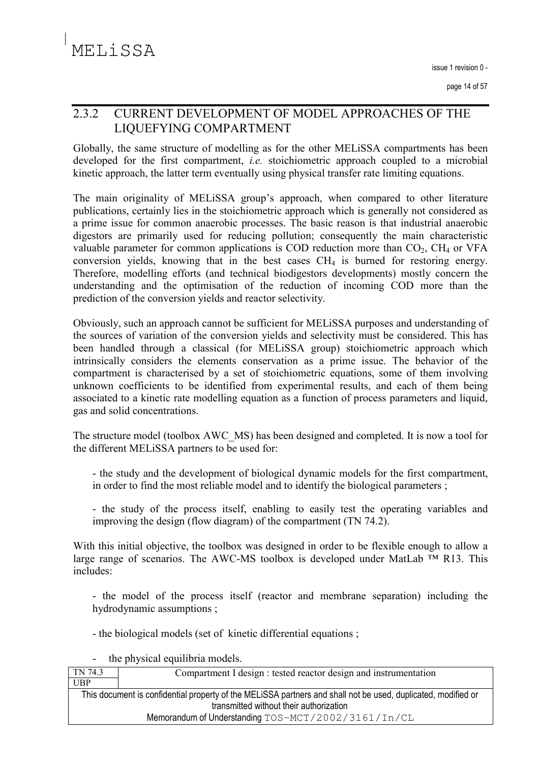### $2.3.2$ **CURRENT DEVELOPMENT OF MODEL APPROACHES OF THE** LIQUEFYING COMPARTMENT

Globally, the same structure of modelling as for the other MELISSA compartments has been developed for the first compartment, *i.e.* stoichiometric approach coupled to a microbial kinetic approach, the latter term eventually using physical transfer rate limiting equations.

The main originality of MELISSA group's approach, when compared to other literature publications, certainly lies in the stoichiometric approach which is generally not considered as a prime issue for common anaerobic processes. The basic reason is that industrial anaerobic digestors are primarily used for reducing pollution; consequently the main characteristic valuable parameter for common applications is COD reduction more than  $CO<sub>2</sub>$ , CH<sub>4</sub> or VFA conversion yields, knowing that in the best cases CH<sub>4</sub> is burned for restoring energy. Therefore, modelling efforts (and technical biodigestors developments) mostly concern the understanding and the optimisation of the reduction of incoming COD more than the prediction of the conversion yields and reactor selectivity.

Obviously, such an approach cannot be sufficient for MELISSA purposes and understanding of the sources of variation of the conversion yields and selectivity must be considered. This has been handled through a classical (for MELiSSA group) stoichiometric approach which intrinsically considers the elements conservation as a prime issue. The behavior of the compartment is characterised by a set of stoichiometric equations, some of them involving unknown coefficients to be identified from experimental results, and each of them being associated to a kinetic rate modelling equation as a function of process parameters and liquid, gas and solid concentrations.

The structure model (toolbox AWC MS) has been designed and completed. It is now a tool for the different MELiSSA partners to be used for:

- the study and the development of biological dynamic models for the first compartment. in order to find the most reliable model and to identify the biological parameters;

- the study of the process itself, enabling to easily test the operating variables and improving the design (flow diagram) of the compartment (TN 74.2).

With this initial objective, the toolbox was designed in order to be flexible enough to allow a large range of scenarios. The AWC-MS toolbox is developed under MatLab  $TM$  R13. This includes:

- the model of the process itself (reactor and membrane separation) including the hydrodynamic assumptions;

- the biological models (set of kinetic differential equations;

the physical equilibria models.

| TN 74.3                                                                                                                                                  | Compartment I design : tested reactor design and instrumentation |
|----------------------------------------------------------------------------------------------------------------------------------------------------------|------------------------------------------------------------------|
| <b>UBP</b>                                                                                                                                               |                                                                  |
| This document is confidential property of the MELISSA partners and shall not be used, duplicated, modified or<br>transmitted without their authorization |                                                                  |
| Memorandum of Understanding TOS-MCT/2002/3161/In/CL                                                                                                      |                                                                  |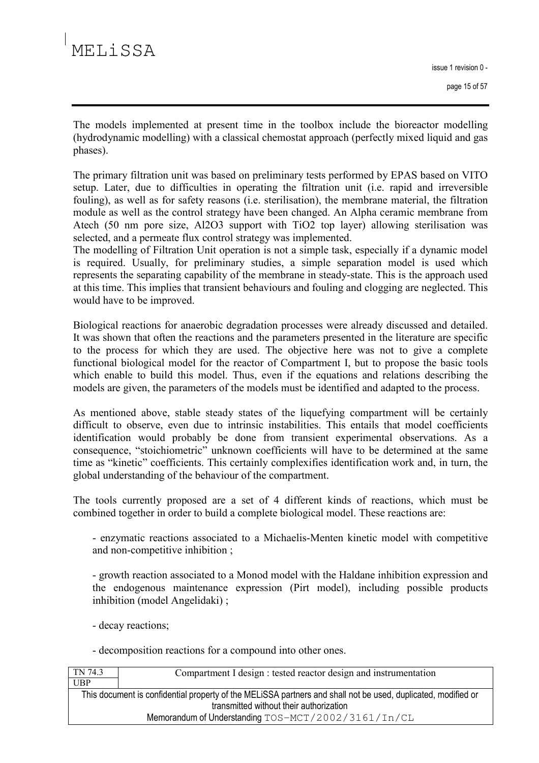The models implemented at present time in the toolbox include the bioreactor modelling (hydrodynamic modelling) with a classical chemostat approach (perfectly mixed liquid and gas phases).

The primary filtration unit was based on preliminary tests performed by EPAS based on VITO setup. Later, due to difficulties in operating the filtration unit (*i.e.* rapid and irreversible fouling), as well as for safety reasons (i.e. sterilisation), the membrane material, the filtration module as well as the control strategy have been changed. An Alpha ceramic membrane from Atech (50 nm pore size, Al2O3 support with TiO2 top layer) allowing sterilisation was selected, and a permeate flux control strategy was implemented.

The modelling of Filtration Unit operation is not a simple task, especially if a dynamic model is required. Usually, for preliminary studies, a simple separation model is used which represents the separating capability of the membrane in steady-state. This is the approach used at this time. This implies that transient behaviours and fouling and clogging are neglected. This would have to be improved.

Biological reactions for anaerobic degradation processes were already discussed and detailed. It was shown that often the reactions and the parameters presented in the literature are specific to the process for which they are used. The objective here was not to give a complete functional biological model for the reactor of Compartment I, but to propose the basic tools which enable to build this model. Thus, even if the equations and relations describing the models are given, the parameters of the models must be identified and adapted to the process.

As mentioned above, stable steady states of the liquefying compartment will be certainly difficult to observe, even due to intrinsic instabilities. This entails that model coefficients identification would probably be done from transient experimental observations. As a consequence, "stoichiometric" unknown coefficients will have to be determined at the same time as "kinetic" coefficients. This certainly complexifies identification work and, in turn, the global understanding of the behaviour of the compartment.

The tools currently proposed are a set of 4 different kinds of reactions, which must be combined together in order to build a complete biological model. These reactions are:

- enzymatic reactions associated to a Michaelis-Menten kinetic model with competitive and non-competitive inhibition;

- growth reaction associated to a Monod model with the Haldane inhibition expression and the endogenous maintenance expression (Pirt model), including possible products inhibition (model Angelidaki);

- decay reactions;

- decomposition reactions for a compound into other ones.

| TN 74.3                                                                                                       | Compartment I design : tested reactor design and instrumentation |
|---------------------------------------------------------------------------------------------------------------|------------------------------------------------------------------|
| UBP                                                                                                           |                                                                  |
| This document is confidential property of the MELISSA partners and shall not be used, duplicated, modified or |                                                                  |
| transmitted without their authorization                                                                       |                                                                  |
| Memorandum of Understanding TOS-MCT/2002/3161/In/CL                                                           |                                                                  |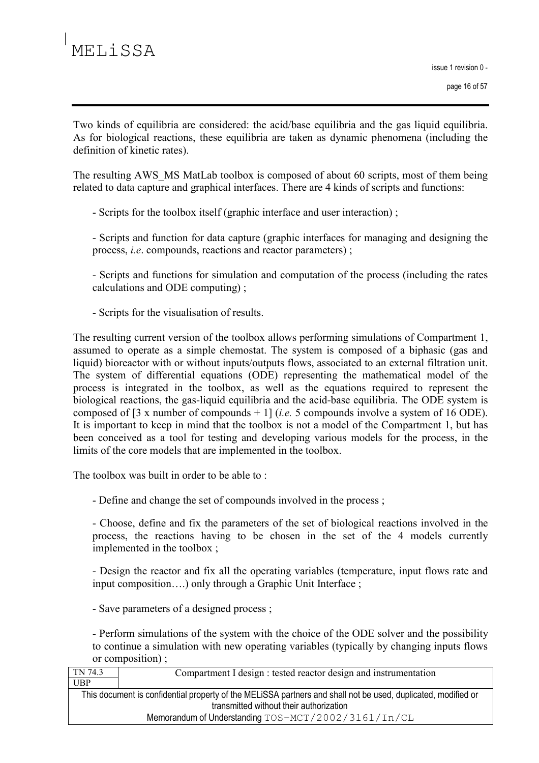Two kinds of equilibria are considered: the acid/base equilibria and the gas liquid equilibria. As for biological reactions, these equilibria are taken as dynamic phenomena (including the definition of kinetic rates).

The resulting AWS MS MatLab toolbox is composed of about 60 scripts, most of them being related to data capture and graphical interfaces. There are 4 kinds of scripts and functions:

- Scripts for the toolbox itself (graphic interface and user interaction);

- Scripts and function for data capture (graphic interfaces for managing and designing the process, *i.e.* compounds, reactions and reactor parameters);

- Scripts and functions for simulation and computation of the process (including the rates calculations and ODE computing);

- Scripts for the visualisation of results.

The resulting current version of the toolbox allows performing simulations of Compartment 1, assumed to operate as a simple chemostat. The system is composed of a biphasic (gas and liquid) bioreactor with or without inputs/outputs flows, associated to an external filtration unit. The system of differential equations (ODE) representing the mathematical model of the process is integrated in the toolbox, as well as the equations required to represent the biological reactions, the gas-liquid equilibria and the acid-base equilibria. The ODE system is composed of [3 x number of compounds + 1] (*i.e.* 5 compounds involve a system of 16 ODE). It is important to keep in mind that the toolbox is not a model of the Compartment 1, but has been conceived as a tool for testing and developing various models for the process, in the limits of the core models that are implemented in the toolbox.

The toolbox was built in order to be able to:

- Define and change the set of compounds involved in the process;

- Choose, define and fix the parameters of the set of biological reactions involved in the process, the reactions having to be chosen in the set of the 4 models currently implemented in the toolbox;

- Design the reactor and fix all the operating variables (temperature, input flows rate and input composition....) only through a Graphic Unit Interface;

- Save parameters of a designed process;

- Perform simulations of the system with the choice of the ODE solver and the possibility to continue a simulation with new operating variables (typically by changing inputs flows or composition);

TN 74.3 Compartment I design : tested reactor design and instrumentation **UBP** This document is confidential property of the MELISSA partners and shall not be used, duplicated, modified or transmitted without their authorization Memorandum of Understanding TOS-MCT/2002/3161/In/CL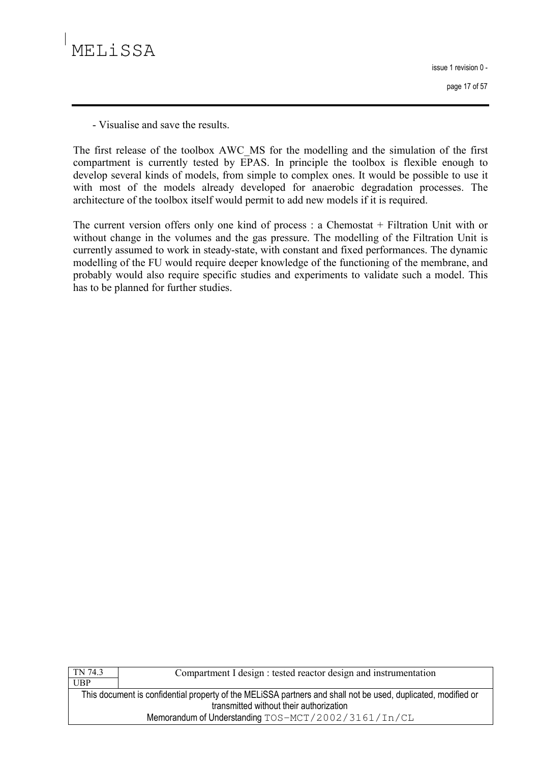issue 1 revision 0 page 17 of 57

- Visualise and save the results

The first release of the toolbox AWC MS for the modelling and the simulation of the first compartment is currently tested by EPAS. In principle the toolbox is flexible enough to develop several kinds of models, from simple to complex ones. It would be possible to use it with most of the models already developed for anaerobic degradation processes. The architecture of the toolbox itself would permit to add new models if it is required.

The current version offers only one kind of process : a Chemostat  $+$  Filtration Unit with or without change in the volumes and the gas pressure. The modelling of the Filtration Unit is currently assumed to work in steady-state, with constant and fixed performances. The dynamic modelling of the FU would require deeper knowledge of the functioning of the membrane, and probably would also require specific studies and experiments to validate such a model. This has to be planned for further studies.

| TN 74.3                                                                                                       | Compartment I design : tested reactor design and instrumentation |  |
|---------------------------------------------------------------------------------------------------------------|------------------------------------------------------------------|--|
| UBP                                                                                                           |                                                                  |  |
| This document is confidential property of the MELISSA partners and shall not be used, duplicated, modified or |                                                                  |  |
| transmitted without their authorization                                                                       |                                                                  |  |
| Memorandum of Understanding TOS-MCT/2002/3161/In/CL                                                           |                                                                  |  |
|                                                                                                               |                                                                  |  |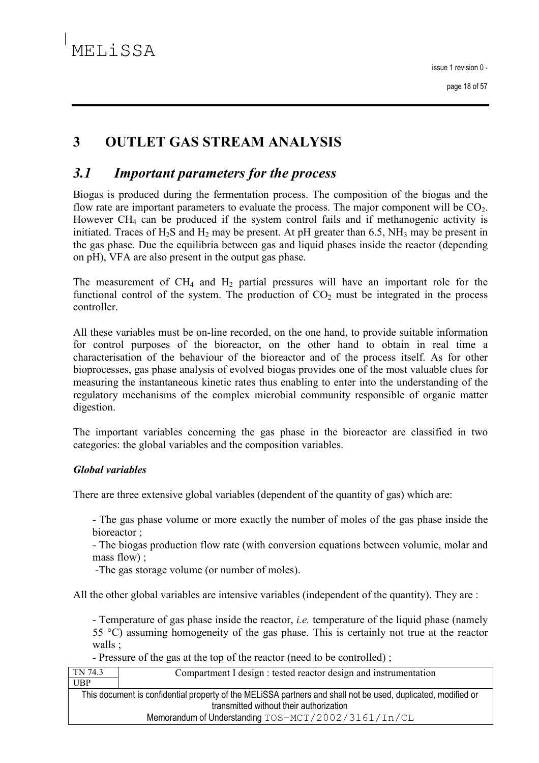### 3 **OUTLET GAS STREAM ANALYSIS**

#### $3.1$ **Important parameters for the process**

Biogas is produced during the fermentation process. The composition of the biogas and the flow rate are important parameters to evaluate the process. The major component will be  $CO<sub>2</sub>$ . However  $CH_4$  can be produced if the system control fails and if methanogenic activity is initiated. Traces of  $H_2S$  and  $H_2$  may be present. At pH greater than 6.5, NH<sub>3</sub> may be present in the gas phase. Due the equilibria between gas and liquid phases inside the reactor (depending on pH). VFA are also present in the output gas phase.

The measurement of  $CH_4$  and  $H_2$  partial pressures will have an important role for the functional control of the system. The production of  $CO<sub>2</sub>$  must be integrated in the process controller

All these variables must be on-line recorded, on the one hand, to provide suitable information for control purposes of the bioreactor, on the other hand to obtain in real time a characterisation of the behaviour of the bioreactor and of the process itself. As for other bioprocesses, gas phase analysis of evolved biogas provides one of the most valuable clues for measuring the instantaneous kinetic rates thus enabling to enter into the understanding of the regulatory mechanisms of the complex microbial community responsible of organic matter digestion.

The important variables concerning the gas phase in the bioreactor are classified in two categories: the global variables and the composition variables.

### **Global variables**

There are three extensive global variables (dependent of the quantity of gas) which are:

- The gas phase volume or more exactly the number of moles of the gas phase inside the bioreactor;

- The biogas production flow rate (with conversion equations between volumic, molar and mass flow) ;

-The gas storage volume (or number of moles).

All the other global variables are intensive variables (independent of the quantity). They are :

- Temperature of gas phase inside the reactor, *i.e.* temperature of the liquid phase (namely 55 °C) assuming homogeneity of the gas phase. This is certainly not true at the reactor walls:

- Pressure of the gas at the top of the reactor (need to be controlled);

| TN 74.3                                                                                                       | Compartment I design : tested reactor design and instrumentation |
|---------------------------------------------------------------------------------------------------------------|------------------------------------------------------------------|
| <b>UBP</b>                                                                                                    |                                                                  |
| This document is confidential property of the MELISSA partners and shall not be used, duplicated, modified or |                                                                  |
| transmitted without their authorization                                                                       |                                                                  |
| Memorandum of Understanding TOS-MCT/2002/3161/In/CL                                                           |                                                                  |
|                                                                                                               |                                                                  |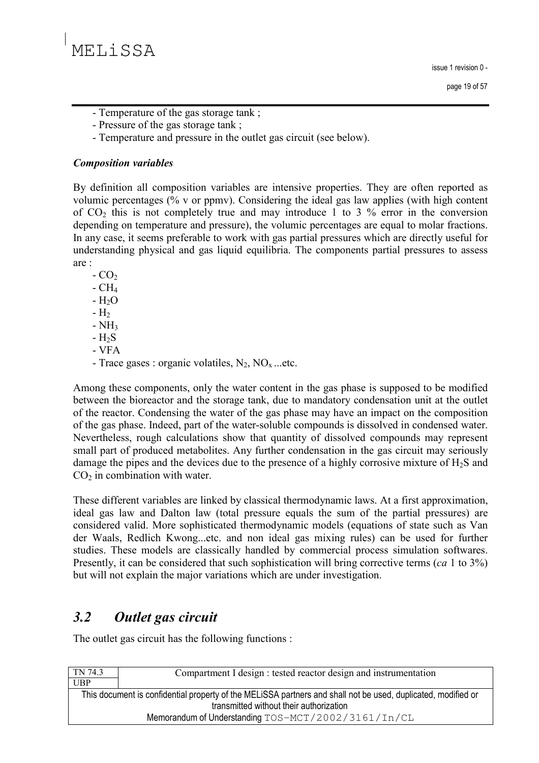- Temperature of the gas storage tank;
- Pressure of the gas storage tank;
- Temperature and pressure in the outlet gas circuit (see below).

### **Composition variables**

By definition all composition variables are intensive properties. They are often reported as volumic percentages (% y or ppmy). Considering the ideal gas law applies (with high content of  $CO<sub>2</sub>$  this is not completely true and may introduce 1 to 3 % error in the conversion depending on temperature and pressure), the volumic percentages are equal to molar fractions. In any case, it seems preferable to work with gas partial pressures which are directly useful for understanding physical and gas liquid equilibria. The components partial pressures to assess are:

 $-CO<sub>2</sub>$ 

- $-CH<sub>4</sub>$
- $-H<sub>2</sub>O$
- $-H<sub>2</sub>$
- $-NH<sub>3</sub>$
- $-H<sub>2</sub>S$
- VFA
- Trace gases : organic volatiles,  $N_2$ ,  $NO_x$ ...etc.

Among these components, only the water content in the gas phase is supposed to be modified between the bioreactor and the storage tank, due to mandatory condensation unit at the outlet of the reactor. Condensing the water of the gas phase may have an impact on the composition of the gas phase. Indeed, part of the water-soluble compounds is dissolved in condensed water. Nevertheless, rough calculations show that quantity of dissolved compounds may represent small part of produced metabolites. Any further condensation in the gas circuit may seriously damage the pipes and the devices due to the presence of a highly corrosive mixture of  $H_2S$  and  $CO<sub>2</sub>$  in combination with water.

These different variables are linked by classical thermodynamic laws. At a first approximation, ideal gas law and Dalton law (total pressure equals the sum of the partial pressures) are considered valid. More sophisticated thermodynamic models (equations of state such as Van der Waals, Redlich Kwong...etc. and non ideal gas mixing rules) can be used for further studies. These models are classically handled by commercial process simulation softwares. Presently, it can be considered that such sophistication will bring corrective terms (ca 1 to  $3\%$ ) but will not explain the major variations which are under investigation.

### $3.2$ Outlet gas circuit

The outlet gas circuit has the following functions :

| Compartment I design : tested reactor design and instrumentation                                              |  |  |
|---------------------------------------------------------------------------------------------------------------|--|--|
|                                                                                                               |  |  |
| This document is confidential property of the MELISSA partners and shall not be used, duplicated, modified or |  |  |
| transmitted without their authorization                                                                       |  |  |
| Memorandum of Understanding TOS-MCT/2002/3161/In/CL                                                           |  |  |
|                                                                                                               |  |  |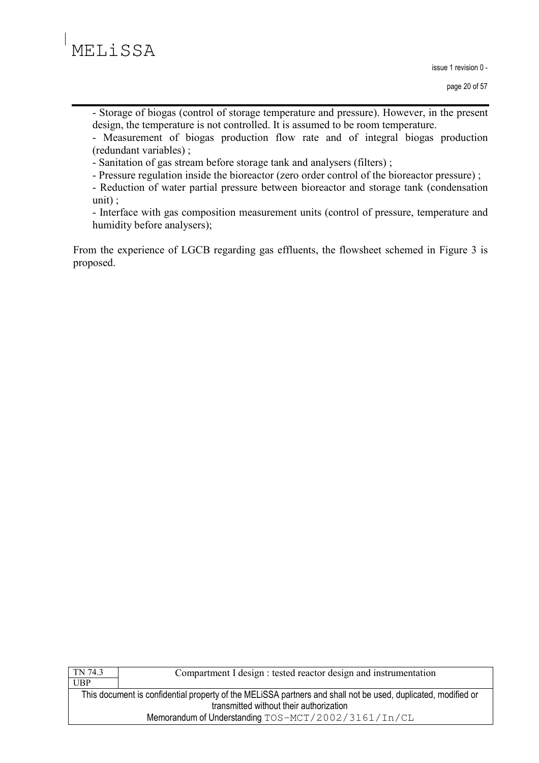

- Storage of biogas (control of storage temperature and pressure). However, in the present design, the temperature is not controlled. It is assumed to be room temperature.

- Measurement of biogas production flow rate and of integral biogas production (redundant variables);

- Sanitation of gas stream before storage tank and analysers (filters);

- Pressure regulation inside the bioreactor (zero order control of the bioreactor pressure);

- Reduction of water partial pressure between bioreactor and storage tank (condensation  $unit):$ 

- Interface with gas composition measurement units (control of pressure, temperature and humidity before analysers);

From the experience of LGCB regarding gas effluents, the flowsheet schemed in Figure 3 is proposed.

| TN 74.3                                                                                                       | Compartment I design : tested reactor design and instrumentation |  |
|---------------------------------------------------------------------------------------------------------------|------------------------------------------------------------------|--|
| UBP                                                                                                           |                                                                  |  |
| This document is confidential property of the MELISSA partners and shall not be used, duplicated, modified or |                                                                  |  |
| transmitted without their authorization                                                                       |                                                                  |  |
| Memorandum of Understanding TOS-MCT/2002/3161/In/CL                                                           |                                                                  |  |
|                                                                                                               |                                                                  |  |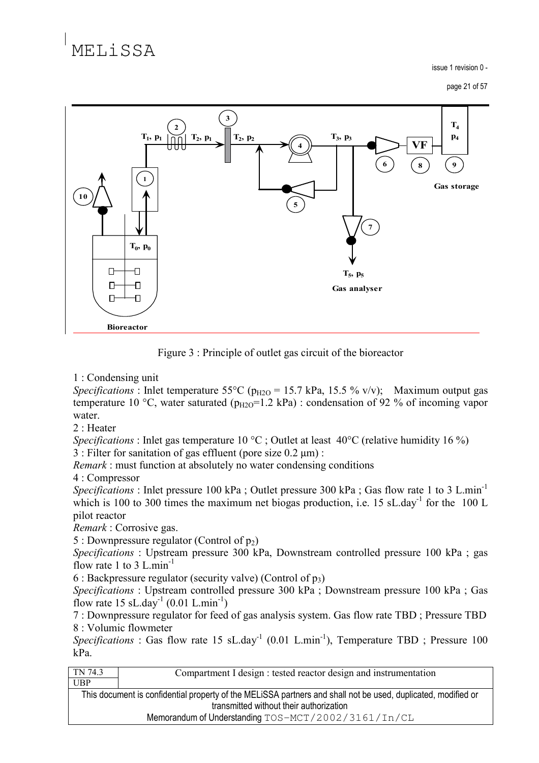# MELISSA

issue 1 revision 0 -

page 21 of 57



Figure 3: Principle of outlet gas circuit of the bioreactor

1 : Condensing unit

Specifications : Inlet temperature 55°C ( $p_{H2O}$  = 15.7 kPa, 15.5 % v/v); Maximum output gas temperature 10 °C, water saturated ( $p_{H2O}$ =1.2 kPa) : condensation of 92 % of incoming vapor water.

 $2:$  Heater

*Specifications*: Inlet gas temperature 10 °C; Outlet at least 40 °C (relative humidity 16 %)

3 : Filter for sanitation of gas effluent (pore size  $0.2 \mu m$ ) :

*Remark*: must function at absolutely no water condensing conditions

4: Compressor

*Specifications*: Inlet pressure 100 kPa; Outlet pressure 300 kPa; Gas flow rate 1 to 3 L.min<sup>-1</sup> which is 100 to 300 times the maximum net biogas production, i.e. 15 sL day<sup>1</sup> for the 100 L pilot reactor

Remark: Corrosive gas.

5 : Downpressure regulator (Control of  $p_2$ )

*Specifications*: Upstream pressure 300 kPa, Downstream controlled pressure 100 kPa; gas flow rate 1 to 3 L min<sup>-1</sup>

6 : Backpressure regulator (security valve) (Control of  $p_3$ )

Specifications : Upstream controlled pressure 300 kPa ; Downstream pressure 100 kPa ; Gas flow rate 15 sL.day<sup>-1</sup> (0.01 L.min<sup>-1</sup>)

7: Downpressure regulator for feed of gas analysis system. Gas flow rate TBD; Pressure TBD 8: Volumic flowmeter

*Specifications*: Gas flow rate 15 sL.day<sup>-1</sup> (0.01 L.min<sup>-1</sup>), Temperature TBD; Pressure 100 kPa.

Compartment I design : tested reactor design and instrumentation

This document is confidential property of the MELISSA partners and shall not be used, duplicated, modified or transmitted without their authorization

Memorandum of Understanding TOS-MCT/2002/3161/In/CL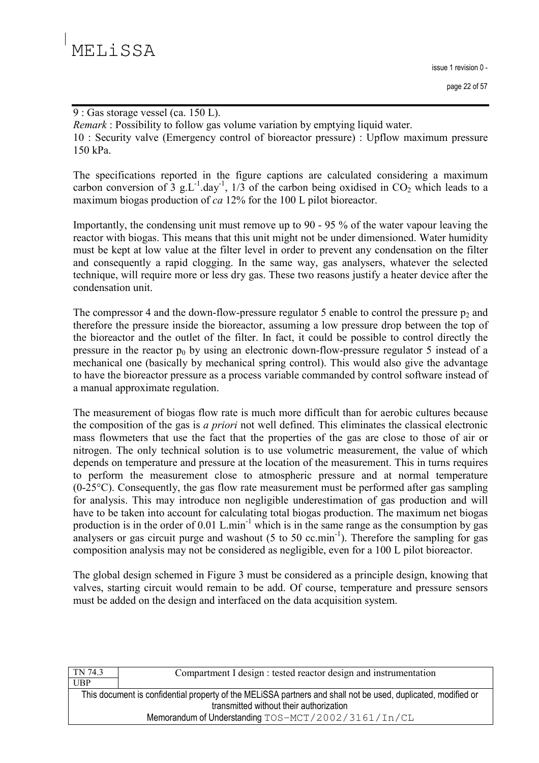9 : Gas storage vessel (ca. 150 L).

*Remark*: Possibility to follow gas volume variation by emptying liquid water.

10 : Security valve (Emergency control of bioreactor pressure) : Upflow maximum pressure 150 kPa.

The specifications reported in the figure captions are calculated considering a maximum carbon conversion of  $3 \text{ g.L}^{-1}$ .day<sup>-1</sup>,  $1/3$  of the carbon being oxidised in CO<sub>2</sub> which leads to a maximum biogas production of  $ca$  12% for the 100 L pilot bioreactor.

Importantly, the condensing unit must remove up to 90 - 95 % of the water vapour leaving the reactor with biogas. This means that this unit might not be under dimensioned. Water humidity must be kept at low value at the filter level in order to prevent any condensation on the filter and consequently a rapid clogging. In the same way, gas analysers, whatever the selected technique, will require more or less dry gas. These two reasons justify a heater device after the condensation unit.

The compressor 4 and the down-flow-pressure regulator 5 enable to control the pressure  $p_2$  and therefore the pressure inside the bioreactor, assuming a low pressure drop between the top of the bioreactor and the outlet of the filter. In fact, it could be possible to control directly the pressure in the reactor  $p_0$  by using an electronic down-flow-pressure regulator 5 instead of a mechanical one (basically by mechanical spring control). This would also give the advantage to have the bioreactor pressure as a process variable commanded by control software instead of a manual approximate regulation.

The measurement of biogas flow rate is much more difficult than for aerobic cultures because the composition of the gas is *a priori* not well defined. This eliminates the classical electronic mass flowmeters that use the fact that the properties of the gas are close to those of air or nitrogen. The only technical solution is to use volumetric measurement, the value of which depends on temperature and pressure at the location of the measurement. This in turns requires to perform the measurement close to atmospheric pressure and at normal temperature  $(0-25\degree C)$ . Consequently, the gas flow rate measurement must be performed after gas sampling for analysis. This may introduce non negligible underestimation of gas production and will have to be taken into account for calculating total biogas production. The maximum net biogas production is in the order of 0.01 L.min<sup>-1</sup> which is in the same range as the consumption by gas analysers or gas circuit purge and washout  $(5 \text{ to } 50 \text{ cc.min}^{-1})$ . Therefore the sampling for gas composition analysis may not be considered as negligible, even for a 100 L pilot bioreactor.

The global design schemed in Figure 3 must be considered as a principle design, knowing that valves, starting circuit would remain to be add. Of course, temperature and pressure sensors must be added on the design and interfaced on the data acquisition system.

| TN 74.3                                                                                                       | Compartment I design : tested reactor design and instrumentation |  |  |
|---------------------------------------------------------------------------------------------------------------|------------------------------------------------------------------|--|--|
| UBP                                                                                                           |                                                                  |  |  |
| This document is confidential property of the MELISSA partners and shall not be used, duplicated, modified or |                                                                  |  |  |
| transmitted without their authorization                                                                       |                                                                  |  |  |
| Memorandum of Understanding TOS-MCT/2002/3161/In/CL                                                           |                                                                  |  |  |
|                                                                                                               |                                                                  |  |  |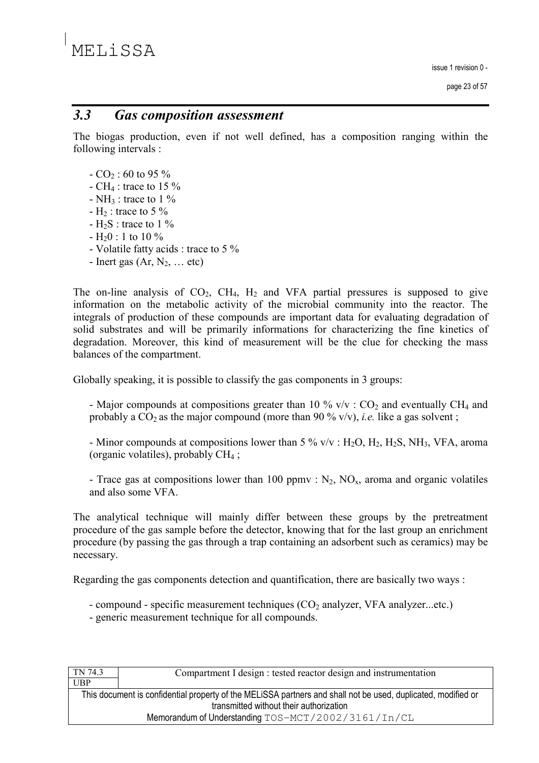#### $3.3$ **Gas composition assessment**

The biogas production, even if not well defined, has a composition ranging within the following intervals :

- $-CO<sub>2</sub>$ : 60 to 95 %
- CH<sub>4</sub> : trace to 15  $\%$
- NH<sub>3</sub> : trace to  $1\%$
- $H_2$ : trace to 5 %
- $H_2S$ : trace to 1 %
- $-H_20$ : 1 to 10 %
- Volatile fatty acids : trace to 5 %
- Inert gas  $(Ar, N_2, \dots etc)$

The on-line analysis of  $CO<sub>2</sub>$ ,  $CH<sub>4</sub>$ ,  $H<sub>2</sub>$  and VFA partial pressures is supposed to give information on the metabolic activity of the microbial community into the reactor. The integrals of production of these compounds are important data for evaluating degradation of solid substrates and will be primarily informations for characterizing the fine kinetics of degradation. Moreover, this kind of measurement will be the clue for checking the mass balances of the compartment.

Globally speaking, it is possible to classify the gas components in 3 groups:

- Major compounds at compositions greater than 10 %  $v/v$  :  $CO<sub>2</sub>$  and eventually CH<sub>4</sub> and probably a  $CO_2$  as the major compound (more than 90 % v/v), *i.e.* like a gas solvent;

- Minor compounds at compositions lower than 5 %  $v/v$  : H<sub>2</sub>O, H<sub>2</sub>, H<sub>2</sub>S, NH<sub>3</sub>, VFA, aroma (organic volatiles), probably  $CH<sub>4</sub>$ ;

- Trace gas at compositions lower than 100 ppmv :  $N_2$ ,  $NO_x$ , aroma and organic volatiles and also some VFA

The analytical technique will mainly differ between these groups by the pretreatment procedure of the gas sample before the detector, knowing that for the last group an enrichment procedure (by passing the gas through a trap containing an adsorbent such as ceramics) may be necessary.

Regarding the gas components detection and quantification, there are basically two ways:

- compound specific measurement techniques (CO<sub>2</sub> analyzer, VFA analyzer...etc.)
- generic measurement technique for all compounds.

| TN 74.3                                                                                                       | Compartment I design : tested reactor design and instrumentation |  |
|---------------------------------------------------------------------------------------------------------------|------------------------------------------------------------------|--|
| <b>UBP</b>                                                                                                    |                                                                  |  |
| This document is confidential property of the MELISSA partners and shall not be used, duplicated, modified or |                                                                  |  |
| transmitted without their authorization                                                                       |                                                                  |  |
| Memorandum of Understanding TOS-MCT/2002/3161/In/CL                                                           |                                                                  |  |
|                                                                                                               |                                                                  |  |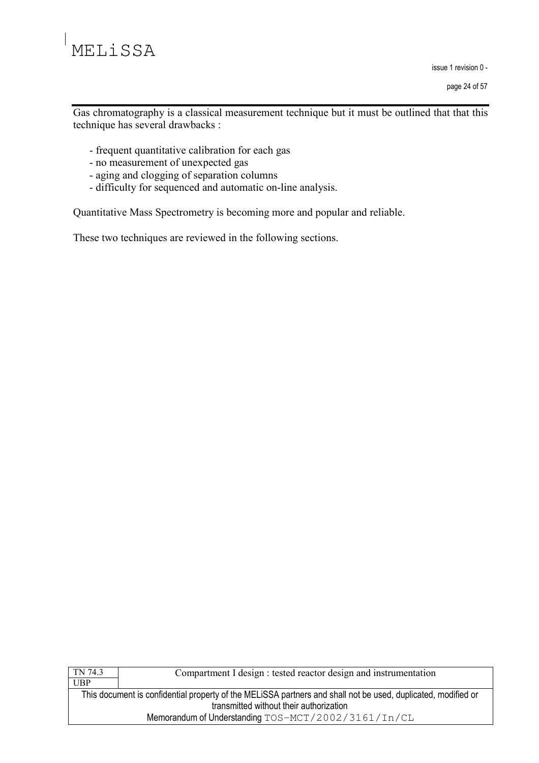issue 1 revision 0 -

page 24 of 57

Gas chromatography is a classical measurement technique but it must be outlined that that this technique has several drawbacks :

- frequent quantitative calibration for each gas
- no measurement of unexpected gas
- aging and clogging of separation columns
- difficulty for sequenced and automatic on-line analysis.

Quantitative Mass Spectrometry is becoming more and popular and reliable.

These two techniques are reviewed in the following sections.

| TN 74.3                                                                                                       | Compartment I design : tested reactor design and instrumentation |  |
|---------------------------------------------------------------------------------------------------------------|------------------------------------------------------------------|--|
| <b>UBP</b>                                                                                                    |                                                                  |  |
| This document is confidential property of the MELISSA partners and shall not be used, duplicated, modified or |                                                                  |  |
| transmitted without their authorization                                                                       |                                                                  |  |
| Memorandum of Understanding TOS-MCT/2002/3161/In/CL                                                           |                                                                  |  |
|                                                                                                               |                                                                  |  |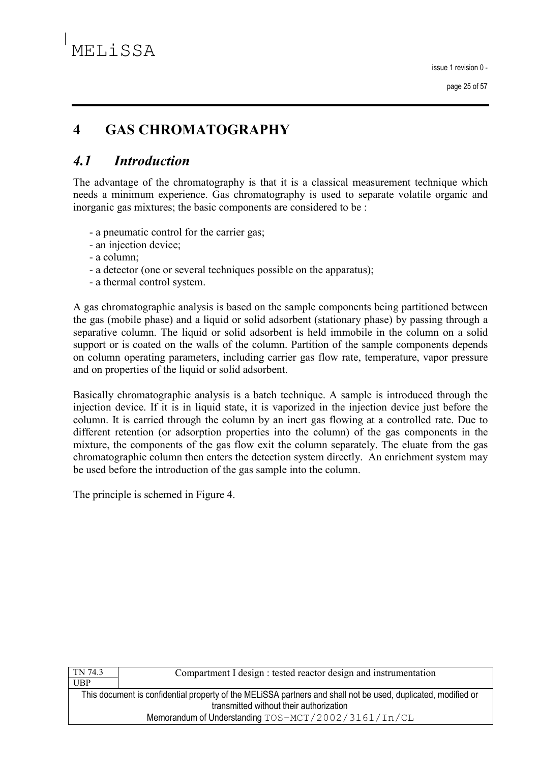### **GAS CHROMATOGRAPHY**  $\overline{\mathbf{4}}$

### $4.1$ **Introduction**

The advantage of the chromatography is that it is a classical measurement technique which needs a minimum experience. Gas chromatography is used to separate volatile organic and inorganic gas mixtures; the basic components are considered to be :

- a pneumatic control for the carrier gas;
- an injection device:
- a column:
- a detector (one or several techniques possible on the apparatus);
- a thermal control system.

A gas chromatographic analysis is based on the sample components being partitioned between the gas (mobile phase) and a liquid or solid adsorbent (stationary phase) by passing through a separative column. The liquid or solid adsorbent is held immobile in the column on a solid support or is coated on the walls of the column. Partition of the sample components depends on column operating parameters, including carrier gas flow rate, temperature, vapor pressure and on properties of the liquid or solid adsorbent.

Basically chromatographic analysis is a batch technique. A sample is introduced through the injection device. If it is in liquid state, it is vaporized in the injection device just before the column. It is carried through the column by an inert gas flowing at a controlled rate. Due to different retention (or adsorption properties into the column) of the gas components in the mixture, the components of the gas flow exit the column separately. The eluate from the gas chromatographic column then enters the detection system directly. An enrichment system may be used before the introduction of the gas sample into the column.

The principle is schemed in Figure 4.

| TN 74.3                                                                                                       | Compartment I design : tested reactor design and instrumentation |  |
|---------------------------------------------------------------------------------------------------------------|------------------------------------------------------------------|--|
| <b>UBP</b>                                                                                                    |                                                                  |  |
| This document is confidential property of the MELISSA partners and shall not be used, duplicated, modified or |                                                                  |  |
| transmitted without their authorization                                                                       |                                                                  |  |
| Memorandum of Understanding TOS-MCT/2002/3161/In/CL                                                           |                                                                  |  |
|                                                                                                               |                                                                  |  |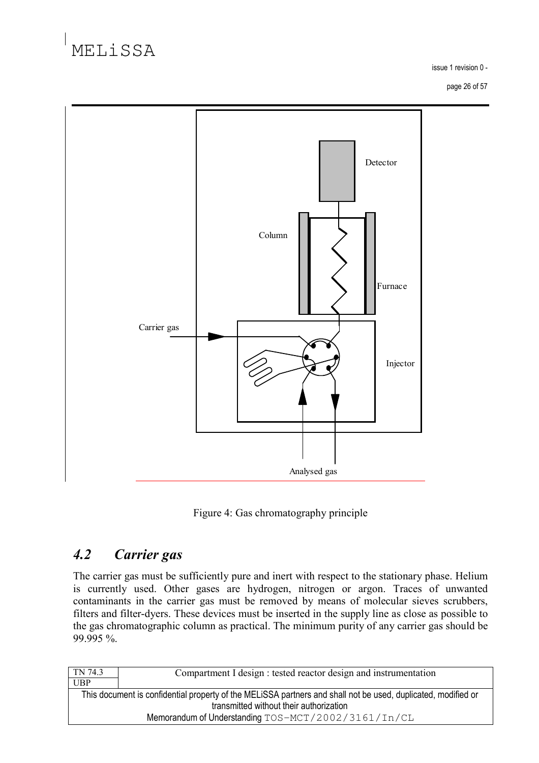issue 1 revision 0 -

page 26 of 57



Figure 4: Gas chromatography principle

### $4.2$ **Carrier** gas

The carrier gas must be sufficiently pure and inert with respect to the stationary phase. Helium is currently used. Other gases are hydrogen, nitrogen or argon. Traces of unwanted contaminants in the carrier gas must be removed by means of molecular sieves scrubbers, filters and filter-dyers. These devices must be inserted in the supply line as close as possible to the gas chromatographic column as practical. The minimum purity of any carrier gas should be 99.995 %.

| TN 74.3                                                                                                       | Compartment I design : tested reactor design and instrumentation |  |
|---------------------------------------------------------------------------------------------------------------|------------------------------------------------------------------|--|
| <b>UBP</b>                                                                                                    |                                                                  |  |
| This document is confidential property of the MELISSA partners and shall not be used, duplicated, modified or |                                                                  |  |
| transmitted without their authorization                                                                       |                                                                  |  |
| Memorandum of Understanding TOS-MCT/2002/3161/In/CL                                                           |                                                                  |  |
|                                                                                                               |                                                                  |  |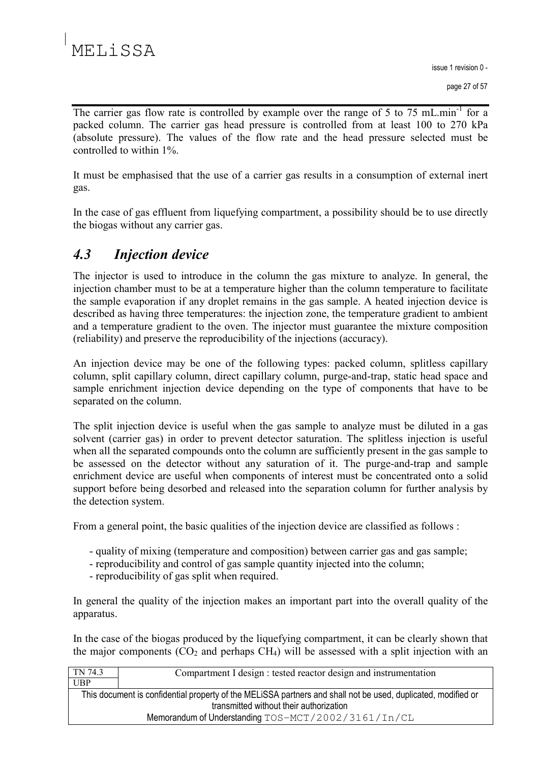issue 1 revision 0 -

The carrier gas flow rate is controlled by example over the range of 5 to 75 mL min<sup>-1</sup> for a packed column. The carrier gas head pressure is controlled from at least 100 to 270 kPa (absolute pressure). The values of the flow rate and the head pressure selected must be controlled to within 1%.

It must be emphasised that the use of a carrier gas results in a consumption of external inert gas.

In the case of gas effluent from liquefying compartment, a possibility should be to use directly the biogas without any carrier gas.

### $4.3$ **Injection device**

The injector is used to introduce in the column the gas mixture to analyze. In general, the injection chamber must to be at a temperature higher than the column temperature to facilitate the sample evaporation if any droplet remains in the gas sample. A heated injection device is described as having three temperatures: the injection zone, the temperature gradient to ambient and a temperature gradient to the oven. The injector must guarantee the mixture composition (reliability) and preserve the reproducibility of the injections (accuracy).

An injection device may be one of the following types: packed column, splitless capillary column, split capillary column, direct capillary column, purge-and-trap, static head space and sample enrichment injection device depending on the type of components that have to be separated on the column.

The split injection device is useful when the gas sample to analyze must be diluted in a gas solvent (carrier gas) in order to prevent detector saturation. The splitless injection is useful when all the separated compounds onto the column are sufficiently present in the gas sample to be assessed on the detector without any saturation of it. The purge-and-trap and sample enrichment device are useful when components of interest must be concentrated onto a solid support before being desorbed and released into the separation column for further analysis by the detection system.

From a general point, the basic qualities of the injection device are classified as follows :

- quality of mixing (temperature and composition) between carrier gas and gas sample:
- reproducibility and control of gas sample quantity injected into the column;
- reproducibility of gas split when required.

In general the quality of the injection makes an important part into the overall quality of the apparatus.

In the case of the biogas produced by the liquefying compartment, it can be clearly shown that the major components  $(CO_2$  and perhaps  $CH<sub>4</sub>$ ) will be assessed with a split injection with an

| TN 74.3                                                                                                                                                  | Compartment I design : tested reactor design and instrumentation |  |
|----------------------------------------------------------------------------------------------------------------------------------------------------------|------------------------------------------------------------------|--|
| UBP                                                                                                                                                      |                                                                  |  |
| This document is confidential property of the MELISSA partners and shall not be used, duplicated, modified or<br>transmitted without their authorization |                                                                  |  |
| Memorandum of Understanding TOS-MCT/2002/3161/In/CL                                                                                                      |                                                                  |  |
|                                                                                                                                                          |                                                                  |  |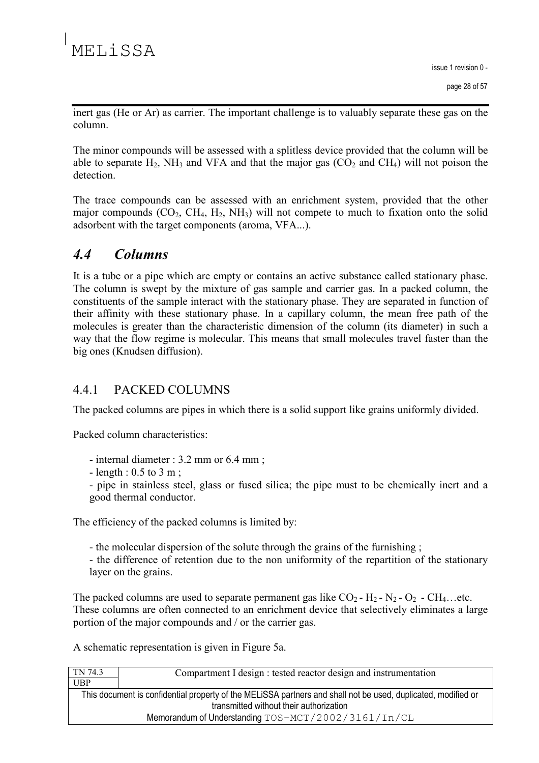inert gas (He or Ar) as carrier. The important challenge is to valuably separate these gas on the column

The minor compounds will be assessed with a splitless device provided that the column will be able to separate  $H_2$ , NH<sub>3</sub> and VFA and that the major gas  $(CO_2$  and CH<sub>4</sub>) will not poison the detection

The trace compounds can be assessed with an enrichment system, provided that the other major compounds  $(CO_2, CH_4, H_2, NH_3)$  will not compete to much to fixation onto the solid adsorbent with the target components (aroma, VFA...).

#### $\overline{44}$ **Columns**

It is a tube or a pipe which are empty or contains an active substance called stationary phase. The column is swept by the mixture of gas sample and carrier gas. In a packed column, the constituents of the sample interact with the stationary phase. They are separated in function of their affinity with these stationary phase. In a capillary column, the mean free path of the molecules is greater than the characteristic dimension of the column (its diameter) in such a way that the flow regime is molecular. This means that small molecules travel faster than the big ones (Knudsen diffusion).

#### 441 PACKED COLUMNS

The packed columns are pipes in which there is a solid support like grains uniformly divided.

Packed column characteristics:

- internal diameter : 3.2 mm or 6.4 mm ;
- length :  $0.5$  to  $3$  m;

- pipe in stainless steel, glass or fused silica; the pipe must to be chemically inert and a good thermal conductor.

The efficiency of the packed columns is limited by:

- the molecular dispersion of the solute through the grains of the furnishing;

- the difference of retention due to the non uniformity of the repartition of the stationary layer on the grains.

The packed columns are used to separate permanent gas like  $CO_2$ - H<sub>2</sub>- N<sub>2</sub>- O<sub>2</sub>- CH<sub>4</sub>...etc. These columns are often connected to an enrichment device that selectively eliminates a large portion of the major compounds and / or the carrier gas.

A schematic representation is given in Figure 5a.

| TN 74.3                                                                                                       | Compartment I design : tested reactor design and instrumentation |  |  |
|---------------------------------------------------------------------------------------------------------------|------------------------------------------------------------------|--|--|
| <b>UBP</b>                                                                                                    |                                                                  |  |  |
| This document is confidential property of the MELISSA partners and shall not be used, duplicated, modified or |                                                                  |  |  |
| transmitted without their authorization                                                                       |                                                                  |  |  |
| Memorandum of Understanding TOS-MCT/2002/3161/In/CL                                                           |                                                                  |  |  |
|                                                                                                               |                                                                  |  |  |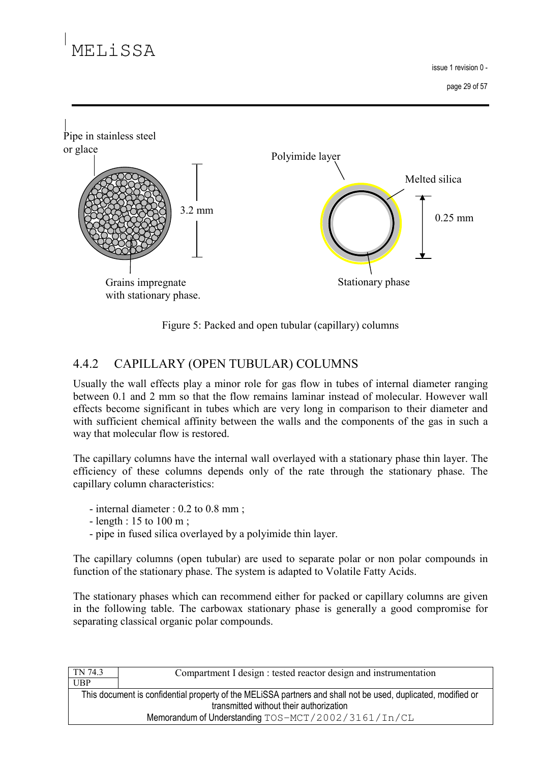# MELISSA

 $is <sub>fl</sub> \neq 1$  revision  $0 -$ 





#### 442 CAPILLARY (OPEN TUBULAR) COLUMNS

Usually the wall effects play a minor role for gas flow in tubes of internal diameter ranging between 0.1 and 2 mm so that the flow remains laminar instead of molecular. However wall effects become significant in tubes which are very long in comparison to their diameter and with sufficient chemical affinity between the walls and the components of the gas in such a way that molecular flow is restored.

The capillary columns have the internal wall overlayed with a stationary phase thin layer. The efficiency of these columns depends only of the rate through the stationary phase. The capillary column characteristics:

- internal diameter :  $0.2$  to  $0.8$  mm;
- length : 15 to 100 m;
- pipe in fused silica overlayed by a polyimide thin layer.

The capillary columns (open tubular) are used to separate polar or non polar compounds in function of the stationary phase. The system is adapted to Volatile Fatty Acids.

The stationary phases which can recommend either for packed or capillary columns are given in the following table. The carbowax stationary phase is generally a good compromise for separating classical organic polar compounds.

| TN 74.3                                                                                                       | Compartment I design : tested reactor design and instrumentation |  |
|---------------------------------------------------------------------------------------------------------------|------------------------------------------------------------------|--|
| <b>UBP</b>                                                                                                    |                                                                  |  |
| This document is confidential property of the MELISSA partners and shall not be used, duplicated, modified or |                                                                  |  |
| transmitted without their authorization                                                                       |                                                                  |  |
| Memorandum of Understanding TOS-MCT/2002/3161/In/CL                                                           |                                                                  |  |
|                                                                                                               |                                                                  |  |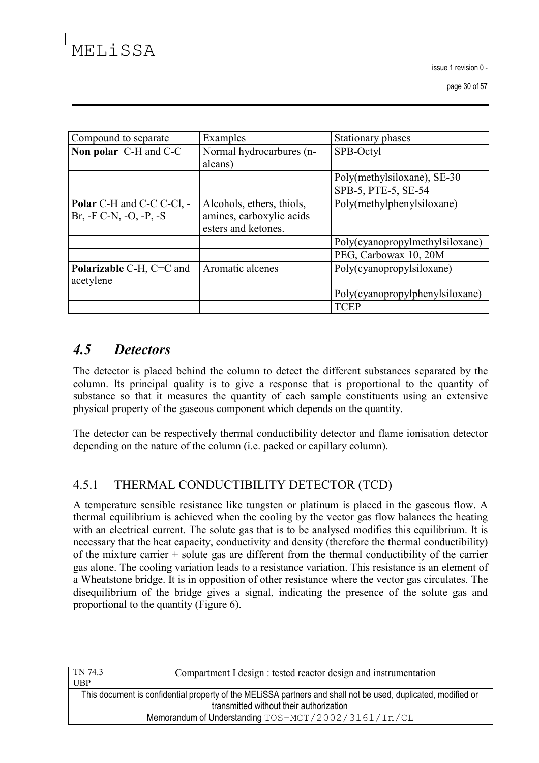$is <sub>fl</sub> \neq 1$  revision  $0 -$ 

page 30 of 57

| Compound to separate             | Examples                  | Stationary phases               |
|----------------------------------|---------------------------|---------------------------------|
| Non polar C-H and C-C            | Normal hydrocarbures (n-  | SPB-Octyl                       |
|                                  | alcans)                   |                                 |
|                                  |                           | Poly(methylsiloxane), SE-30     |
|                                  |                           | SPB-5, PTE-5, SE-54             |
| <b>Polar</b> C-H and C-C C-Cl, - | Alcohols, ethers, thiols, | Poly(methylphenylsiloxane)      |
| $Br, -F C-N, -O, -P, -S$         | amines, carboxylic acids  |                                 |
|                                  | esters and ketones.       |                                 |
|                                  |                           | Poly(cyanopropylmethylsiloxane) |
|                                  |                           | PEG, Carbowax 10, 20M           |
| Polarizable C-H, C=C and         | Aromatic alcenes          | Poly(cyanopropylsiloxane)       |
| acetylene                        |                           |                                 |
|                                  |                           | Poly(cyanopropylphenylsiloxane) |
|                                  |                           | <b>TCEP</b>                     |

### $4.5$ **Detectors**

The detector is placed behind the column to detect the different substances separated by the column. Its principal quality is to give a response that is proportional to the quantity of substance so that it measures the quantity of each sample constituents using an extensive physical property of the gaseous component which depends on the quantity.

The detector can be respectively thermal conductibility detector and flame ionisation detector depending on the nature of the column (i.e. packed or capillary column).

#### $4.5.1$ THERMAL CONDUCTIBILITY DETECTOR (TCD)

A temperature sensible resistance like tungsten or platinum is placed in the gaseous flow. A thermal equilibrium is achieved when the cooling by the vector gas flow balances the heating with an electrical current. The solute gas that is to be analysed modifies this equilibrium. It is necessary that the heat capacity, conductivity and density (therefore the thermal conductibility) of the mixture carrier  $+$  solute gas are different from the thermal conductibility of the carrier gas alone. The cooling variation leads to a resistance variation. This resistance is an element of a Wheatstone bridge. It is in opposition of other resistance where the vector gas circulates. The disequilibrium of the bridge gives a signal, indicating the presence of the solute gas and proportional to the quantity (Figure 6).

| TN 74.3                                                                                                       | Compartment I design : tested reactor design and instrumentation |
|---------------------------------------------------------------------------------------------------------------|------------------------------------------------------------------|
| <b>UBP</b>                                                                                                    |                                                                  |
| This document is confidential property of the MELISSA partners and shall not be used, duplicated, modified or |                                                                  |
| transmitted without their authorization                                                                       |                                                                  |
| Memorandum of Understanding TOS-MCT/2002/3161/In/CL                                                           |                                                                  |
|                                                                                                               |                                                                  |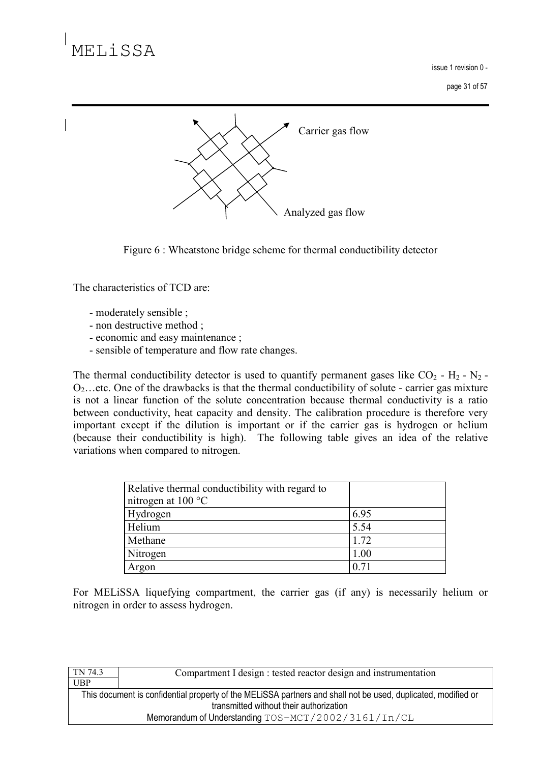issue 1 revision 0 -

page 31 of 57



Figure 6 : Wheatstone bridge scheme for thermal conductibility detector

The characteristics of TCD are:

- moderately sensible;
- non destructive method :
- economic and easy maintenance;
- sensible of temperature and flow rate changes.

The thermal conductibility detector is used to quantify permanent gases like  $CO_2$  - H<sub>2</sub> - N<sub>2</sub> - $O_2$ ...etc. One of the drawbacks is that the thermal conductibility of solute - carrier gas mixture is not a linear function of the solute concentration because thermal conductivity is a ratio between conductivity, heat capacity and density. The calibration procedure is therefore very important except if the dilution is important or if the carrier gas is hydrogen or helium (because their conductibility is high). The following table gives an idea of the relative variations when compared to nitrogen.

| Relative thermal conductibility with regard to |      |
|------------------------------------------------|------|
| nitrogen at 100 °C                             |      |
| Hydrogen                                       | 6.95 |
| Helium                                         | 5.54 |
| Methane                                        | 1.72 |
| Nitrogen                                       | 1.00 |
| Argon                                          | 0.71 |

For MELISSA liquefying compartment, the carrier gas (if any) is necessarily helium or nitrogen in order to assess hydrogen.

| TN 74.3                                                                                                       | Compartment I design : tested reactor design and instrumentation |
|---------------------------------------------------------------------------------------------------------------|------------------------------------------------------------------|
| <b>UBP</b>                                                                                                    |                                                                  |
| This document is confidential property of the MELISSA partners and shall not be used, duplicated, modified or |                                                                  |
| transmitted without their authorization                                                                       |                                                                  |
| Memorandum of Understanding TOS-MCT/2002/3161/In/CL                                                           |                                                                  |
|                                                                                                               |                                                                  |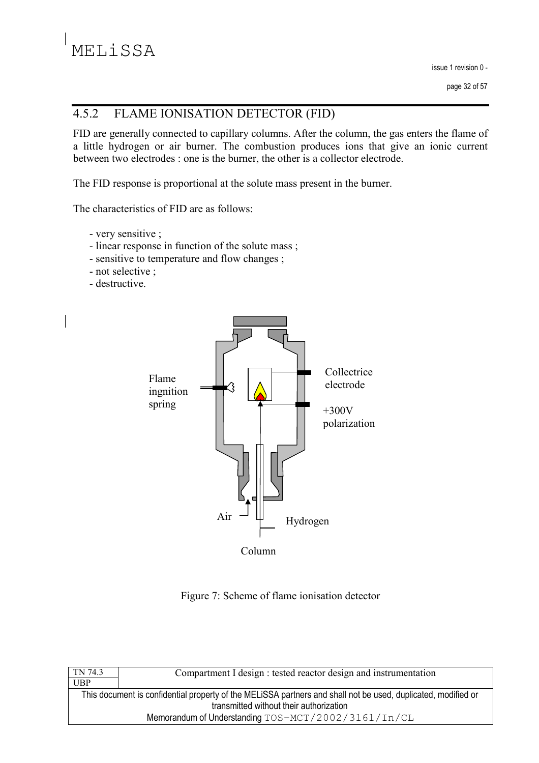#### $4.5.2$ FLAME IONISATION DETECTOR (FID)

FID are generally connected to capillary columns. After the column, the gas enters the flame of a little hydrogen or air burner. The combustion produces ions that give an ionic current between two electrodes : one is the burner, the other is a collector electrode.

The FID response is proportional at the solute mass present in the burner.

The characteristics of FID are as follows:

- very sensitive :
- linear response in function of the solute mass;
- sensitive to temperature and flow changes;
- not selective ;
- destructive.



Figure 7: Scheme of flame ionisation detector

| Compartment I design : tested reactor design and instrumentation                                              |  |
|---------------------------------------------------------------------------------------------------------------|--|
|                                                                                                               |  |
| This document is confidential property of the MELISSA partners and shall not be used, duplicated, modified or |  |
| transmitted without their authorization                                                                       |  |
| Memorandum of Understanding TOS-MCT/2002/3161/In/CL                                                           |  |
|                                                                                                               |  |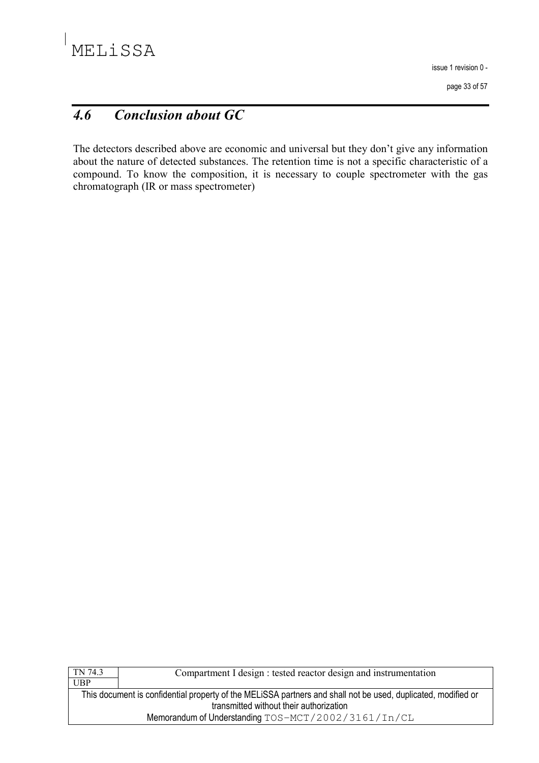issue 1 revision 0 -

page 33 of 57

### **Conclusion about GC**  $4.6$

The detectors described above are economic and universal but they don't give any information about the nature of detected substances. The retention time is not a specific characteristic of a compound. To know the composition, it is necessary to couple spectrometer with the gas chromatograph (IR or mass spectrometer)

| TN 74.3                                                                                                       | Compartment I design : tested reactor design and instrumentation |
|---------------------------------------------------------------------------------------------------------------|------------------------------------------------------------------|
| UBP                                                                                                           |                                                                  |
| This document is confidential property of the MELISSA partners and shall not be used, duplicated, modified or |                                                                  |
| transmitted without their authorization                                                                       |                                                                  |
| Memorandum of Understanding TOS-MCT/2002/3161/In/CL                                                           |                                                                  |
|                                                                                                               |                                                                  |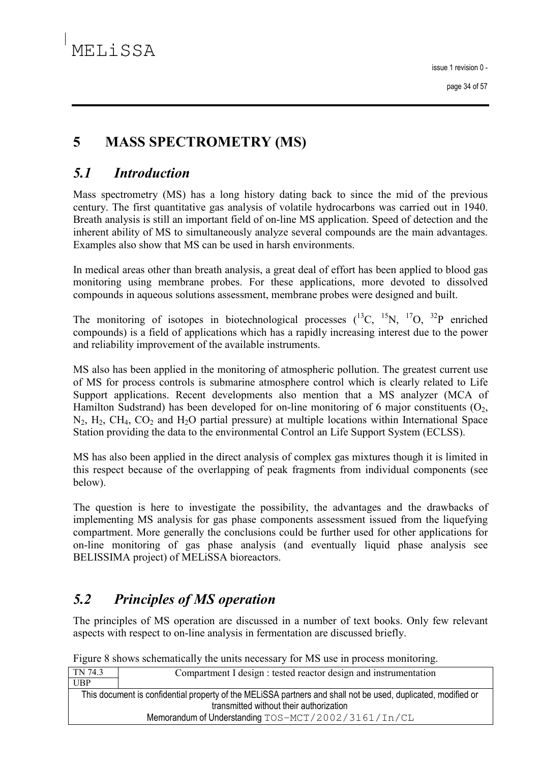### $\overline{\mathbf{5}}$ **MASS SPECTROMETRY (MS)**

#### $5.1$ **Introduction**

Mass spectrometry (MS) has a long history dating back to since the mid of the previous century. The first quantitative gas analysis of volatile hydrocarbons was carried out in 1940. Breath analysis is still an important field of on-line MS application. Speed of detection and the inherent ability of MS to simultaneously analyze several compounds are the main advantages. Examples also show that MS can be used in harsh environments.

In medical areas other than breath analysis, a great deal of effort has been applied to blood gas monitoring using membrane probes. For these applications, more devoted to dissolved compounds in aqueous solutions assessment, membrane probes were designed and built.

The monitoring of isotopes in biotechnological processes  $(^{13}C, ^{15}N, ^{17}O, ^{32}P$  enriched compounds) is a field of applications which has a rapidly increasing interest due to the power and reliability improvement of the available instruments.

MS also has been applied in the monitoring of atmospheric pollution. The greatest current use of MS for process controls is submarine atmosphere control which is clearly related to Life Support applications. Recent developments also mention that a MS analyzer (MCA of Hamilton Sudstrand) has been developed for on-line monitoring of 6 major constituents  $(O_2,$  $N_2$ ,  $H_2$ ,  $CH_4$ ,  $CO_2$  and  $H_2O$  partial pressure) at multiple locations within International Space Station providing the data to the environmental Control an Life Support System (ECLSS).

MS has also been applied in the direct analysis of complex gas mixtures though it is limited in this respect because of the overlapping of peak fragments from individual components (see below).

The question is here to investigate the possibility, the advantages and the drawbacks of implementing MS analysis for gas phase components assessment issued from the liquefying compartment. More generally the conclusions could be further used for other applications for on-line monitoring of gas phase analysis (and eventually liquid phase analysis see BELISSIMA project) of MELISSA bioreactors.

### $5.2$ **Principles of MS operation**

The principles of MS operation are discussed in a number of text books. Only few relevant aspects with respect to on-line analysis in fermentation are discussed briefly.

| TN 74.3                                                                                                       | Compartment I design : tested reactor design and instrumentation |
|---------------------------------------------------------------------------------------------------------------|------------------------------------------------------------------|
| <b>UBP</b>                                                                                                    |                                                                  |
| This document is confidential property of the MELISSA partners and shall not be used, duplicated, modified or |                                                                  |
| transmitted without their authorization                                                                       |                                                                  |
| Memorandum of Understanding TOS-MCT/2002/3161/In/CL                                                           |                                                                  |

Figure 8 shows schematically the units necessary for MS use in process monitoring.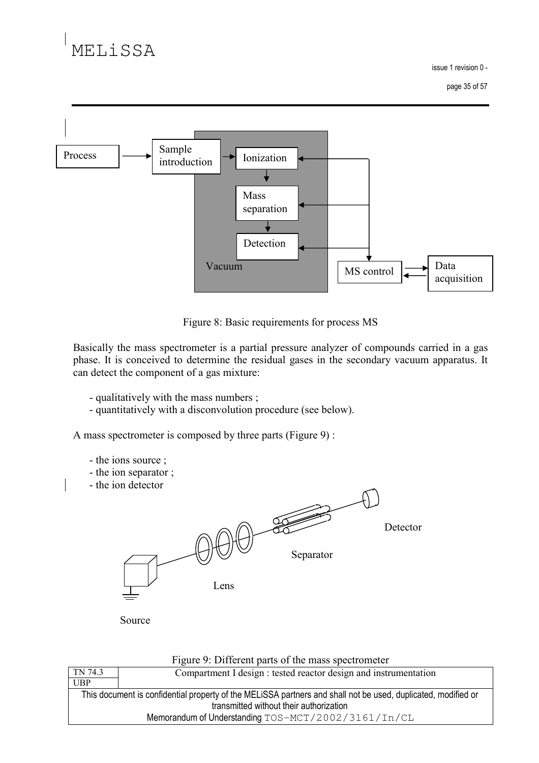issue 1 revision 0 -



Figure 8: Basic requirements for process MS

Basically the mass spectrometer is a partial pressure analyzer of compounds carried in a gas phase. It is conceived to determine the residual gases in the secondary vacuum apparatus. It can detect the component of a gas mixture:

- qualitatively with the mass numbers;
- quantitatively with a disconvolution procedure (see below).

A mass spectrometer is composed by three parts (Figure 9):

- the ions source;
- the ion separator;
- the ion detector



Source

| Figure 9: Different parts of the mass spectrometer                                                            |                                                                  |
|---------------------------------------------------------------------------------------------------------------|------------------------------------------------------------------|
| TN 74.3                                                                                                       | Compartment I design : tested reactor design and instrumentation |
| UBP                                                                                                           |                                                                  |
| This document is confidential property of the MELISSA partners and shall not be used, duplicated, modified or |                                                                  |
| transmitted without their authorization                                                                       |                                                                  |
| Memorandum of Understanding TOS-MCT/2002/3161/In/CL                                                           |                                                                  |
|                                                                                                               |                                                                  |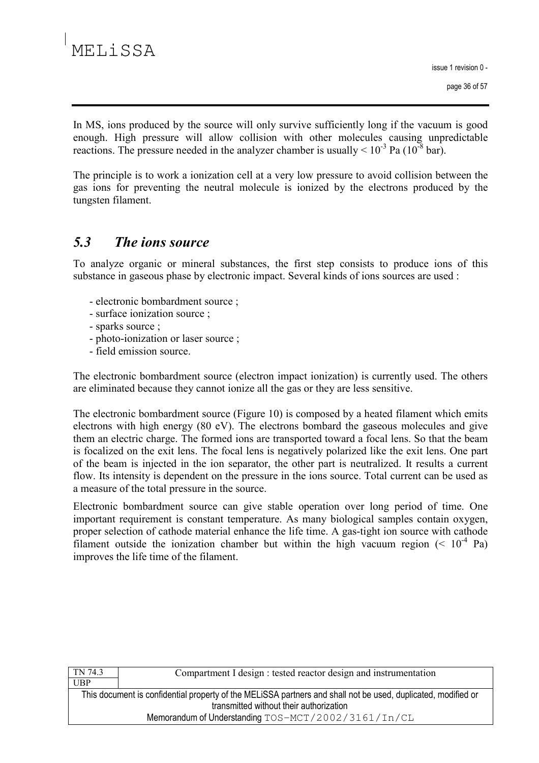issue 1 revision 0 -

In MS, ions produced by the source will only survive sufficiently long if the vacuum is good enough. High pressure will allow collision with other molecules causing unpredictable reactions. The pressure needed in the analyzer chamber is usually  $\leq 10^{-3}$  Pa (10<sup>-8</sup> bar).

The principle is to work a ionization cell at a very low pressure to avoid collision between the gas ions for preventing the neutral molecule is ionized by the electrons produced by the tungsten filament.

#### $5.3$ The *ions* source

To analyze organic or mineral substances, the first step consists to produce ions of this substance in gaseous phase by electronic impact. Several kinds of ions sources are used :

- electronic bombardment source;
- surface ionization source ;
- sparks source;
- photo-ionization or laser source;
- field emission source.

The electronic bombardment source (electron impact ionization) is currently used. The others are eliminated because they cannot ionize all the gas or they are less sensitive.

The electronic bombardment source (Figure 10) is composed by a heated filament which emits electrons with high energy (80 eV). The electrons bombard the gaseous molecules and give them an electric charge. The formed ions are transported toward a focal lens. So that the beam is focalized on the exit lens. The focal lens is negatively polarized like the exit lens. One part of the beam is injected in the ion separator, the other part is neutralized. It results a current flow. Its intensity is dependent on the pressure in the ions source. Total current can be used as a measure of the total pressure in the source.

Electronic bombardment source can give stable operation over long period of time. One important requirement is constant temperature. As many biological samples contain oxygen, proper selection of cathode material enhance the life time. A gas-tight ion source with cathode filament outside the ionization chamber but within the high vacuum region  $(< 10<sup>-4</sup>$  Pa) improves the life time of the filament.

| TN 74.3                                                                                                       | Compartment I design : tested reactor design and instrumentation |
|---------------------------------------------------------------------------------------------------------------|------------------------------------------------------------------|
| <b>UBP</b>                                                                                                    |                                                                  |
| This document is confidential property of the MELISSA partners and shall not be used, duplicated, modified or |                                                                  |
| transmitted without their authorization                                                                       |                                                                  |
| Memorandum of Understanding TOS-MCT/2002/3161/In/CL                                                           |                                                                  |
|                                                                                                               |                                                                  |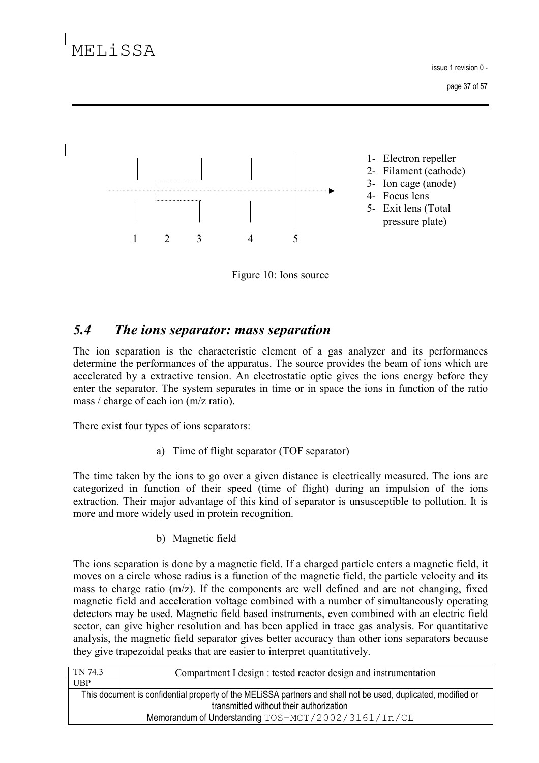# MELISSA

issue 1 revision 0 -

page 37 of 57



Figure 10: Ions source

#### $5.4$ The ions separator: mass separation

The ion separation is the characteristic element of a gas analyzer and its performances determine the performances of the apparatus. The source provides the beam of ions which are accelerated by a extractive tension. An electrostatic optic gives the ions energy before they enter the separator. The system separates in time or in space the ions in function of the ratio mass / charge of each ion  $(m/z \text{ ratio})$ .

There exist four types of ions separators:

a) Time of flight separator (TOF separator)

The time taken by the ions to go over a given distance is electrically measured. The ions are categorized in function of their speed (time of flight) during an impulsion of the ions extraction. Their major advantage of this kind of separator is unsusceptible to pollution. It is more and more widely used in protein recognition.

b) Magnetic field

The ions separation is done by a magnetic field. If a charged particle enters a magnetic field, it moves on a circle whose radius is a function of the magnetic field, the particle velocity and its mass to charge ratio  $(m/z)$ . If the components are well defined and are not changing, fixed magnetic field and acceleration voltage combined with a number of simultaneously operating detectors may be used. Magnetic field based instruments, even combined with an electric field sector, can give higher resolution and has been applied in trace gas analysis. For quantitative analysis, the magnetic field separator gives better accuracy than other ions separators because they give trapezoidal peaks that are easier to interpret quantitatively.

| TN 74.3                                                                                                                                                  | Compartment I design : tested reactor design and instrumentation |
|----------------------------------------------------------------------------------------------------------------------------------------------------------|------------------------------------------------------------------|
| <b>UBP</b>                                                                                                                                               |                                                                  |
| This document is confidential property of the MELISSA partners and shall not be used, duplicated, modified or<br>transmitted without their authorization |                                                                  |
| Memorandum of Understanding TOS-MCT/2002/3161/In/CL                                                                                                      |                                                                  |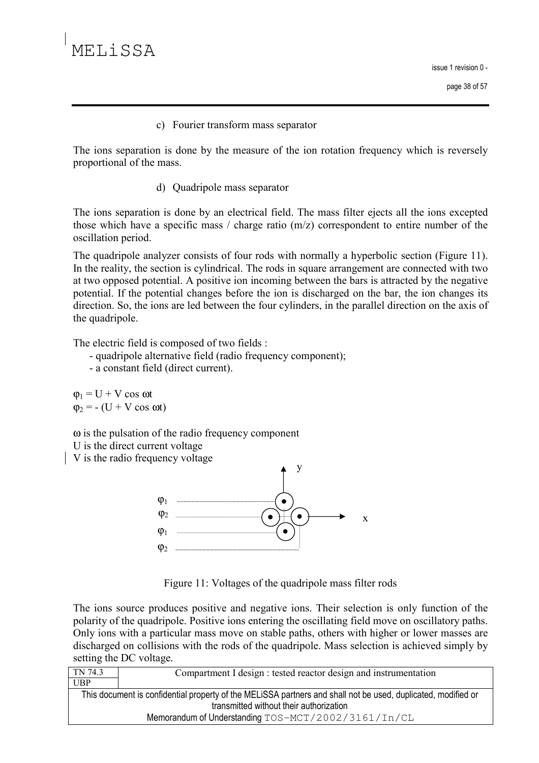c) Fourier transform mass separator

The ions separation is done by the measure of the ion rotation frequency which is reversely proportional of the mass.

d) Quadripole mass separator

The ions separation is done by an electrical field. The mass filter ejects all the ions excepted those which have a specific mass / charge ratio  $(m/z)$  correspondent to entire number of the oscillation period.

The quadripole analyzer consists of four rods with normally a hyperbolic section (Figure 11). In the reality, the section is cylindrical. The rods in square arrangement are connected with two at two opposed potential. A positive ion incoming between the bars is attracted by the negative potential. If the potential changes before the ion is discharged on the bar, the ion changes its direction. So, the ions are led between the four cylinders, in the parallel direction on the axis of the quadripole.

The electric field is composed of two fields :

- quadripole alternative field (radio frequency component);
- a constant field (direct current).

 $\varphi_1 = U + V \cos \omega t$  $\varphi_2$  = - (U + V cos  $\omega t$ )

 $\omega$  is the pulsation of the radio frequency component

U is the direct current voltage

V is the radio frequency voltage



Figure 11: Voltages of the quadripole mass filter rods

The ions source produces positive and negative ions. Their selection is only function of the polarity of the quadripole. Positive ions entering the oscillating field move on oscillatory paths. Only ions with a particular mass move on stable paths, others with higher or lower masses are discharged on collisions with the rods of the quadripole. Mass selection is achieved simply by setting the DC voltage.

| TN 74.3                                                                                                       | Compartment I design : tested reactor design and instrumentation |
|---------------------------------------------------------------------------------------------------------------|------------------------------------------------------------------|
| UBP                                                                                                           |                                                                  |
| This document is confidential property of the MELISSA partners and shall not be used, duplicated, modified or |                                                                  |
| transmitted without their authorization                                                                       |                                                                  |
| Memorandum of Understanding TOS-MCT/2002/3161/In/CL                                                           |                                                                  |
|                                                                                                               |                                                                  |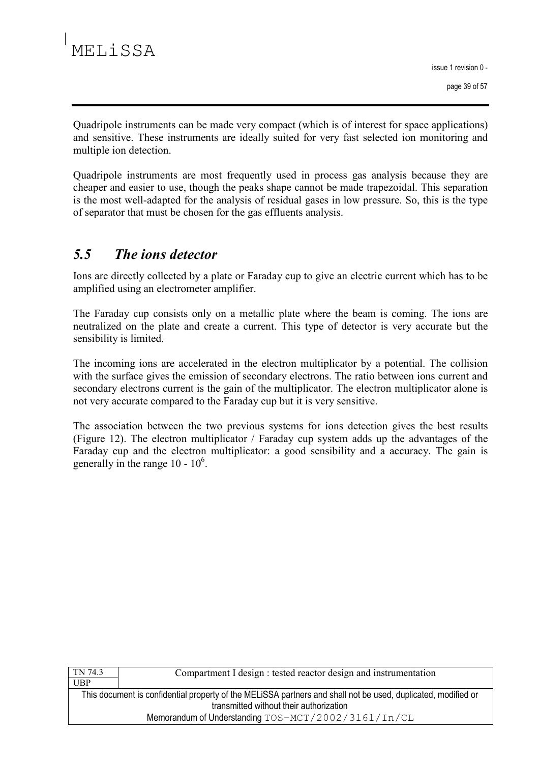Quadripole instruments can be made very compact (which is of interest for space applications) and sensitive. These instruments are ideally suited for very fast selected ion monitoring and multiple ion detection.

Quadripole instruments are most frequently used in process gas analysis because they are cheaper and easier to use, though the peaks shape cannot be made trapezoidal. This separation is the most well-adapted for the analysis of residual gases in low pressure. So, this is the type of separator that must be chosen for the gas effluents analysis.

### $5.5$ The *ions* detector

Ions are directly collected by a plate or Faraday cup to give an electric current which has to be amplified using an electrometer amplifier.

The Faraday cup consists only on a metallic plate where the beam is coming. The ions are neutralized on the plate and create a current. This type of detector is very accurate but the sensibility is limited.

The incoming ions are accelerated in the electron multiplicator by a potential. The collision with the surface gives the emission of secondary electrons. The ratio between ions current and secondary electrons current is the gain of the multiplicator. The electron multiplicator alone is not very accurate compared to the Faraday cup but it is very sensitive.

The association between the two previous systems for ions detection gives the best results (Figure 12). The electron multiplicator / Faraday cup system adds up the advantages of the Faraday cup and the electron multiplicator: a good sensibility and a accuracy. The gain is generally in the range  $10 - 10^6$ .

| TN 74.3                                                                                                       | Compartment I design : tested reactor design and instrumentation |
|---------------------------------------------------------------------------------------------------------------|------------------------------------------------------------------|
| UBP                                                                                                           |                                                                  |
| This document is confidential property of the MELISSA partners and shall not be used, duplicated, modified or |                                                                  |
| transmitted without their authorization                                                                       |                                                                  |
| Memorandum of Understanding TOS-MCT/2002/3161/In/CL                                                           |                                                                  |
|                                                                                                               |                                                                  |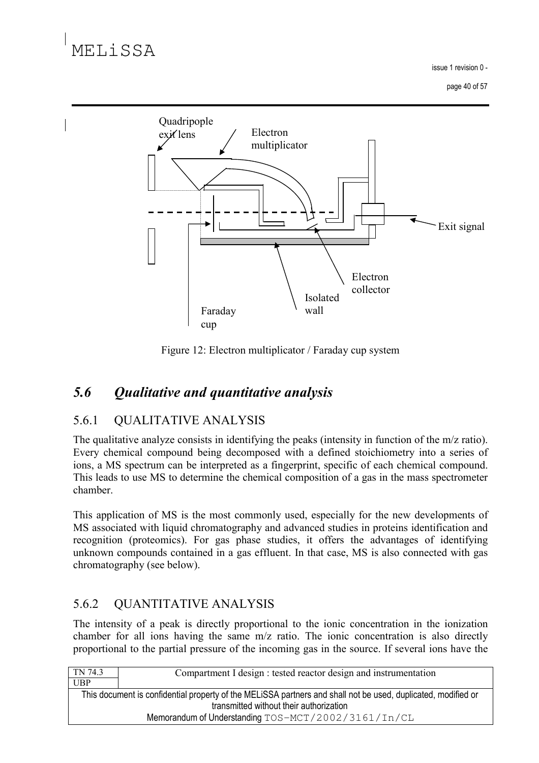issue 1 revision 0 -

page 40 of 57



Figure 12: Electron multiplicator / Faraday cup system

### $5.6$ **Qualitative and quantitative analysis**

#### 5.6.1 **QUALITATIVE ANALYSIS**

The qualitative analyze consists in identifying the peaks (intensity in function of the  $m/z$  ratio). Every chemical compound being decomposed with a defined stoichiometry into a series of ions, a MS spectrum can be interpreted as a fingerprint, specific of each chemical compound. This leads to use MS to determine the chemical composition of a gas in the mass spectrometer chamber.

This application of MS is the most commonly used, especially for the new developments of MS associated with liquid chromatography and advanced studies in proteins identification and recognition (proteomics). For gas phase studies, it offers the advantages of identifying unknown compounds contained in a gas effluent. In that case, MS is also connected with gas chromatography (see below).

#### 5.6.2 **QUANTITATIVE ANALYSIS**

The intensity of a peak is directly proportional to the ionic concentration in the ionization chamber for all ions having the same m/z ratio. The ionic concentration is also directly proportional to the partial pressure of the incoming gas in the source. If several ions have the

| TN 74.3                                                                                                                                                  | Compartment I design : tested reactor design and instrumentation |
|----------------------------------------------------------------------------------------------------------------------------------------------------------|------------------------------------------------------------------|
| <b>UBP</b>                                                                                                                                               |                                                                  |
| This document is confidential property of the MELISSA partners and shall not be used, duplicated, modified or<br>transmitted without their authorization |                                                                  |
| Memorandum of Understanding TOS-MCT/2002/3161/In/CL                                                                                                      |                                                                  |
|                                                                                                                                                          |                                                                  |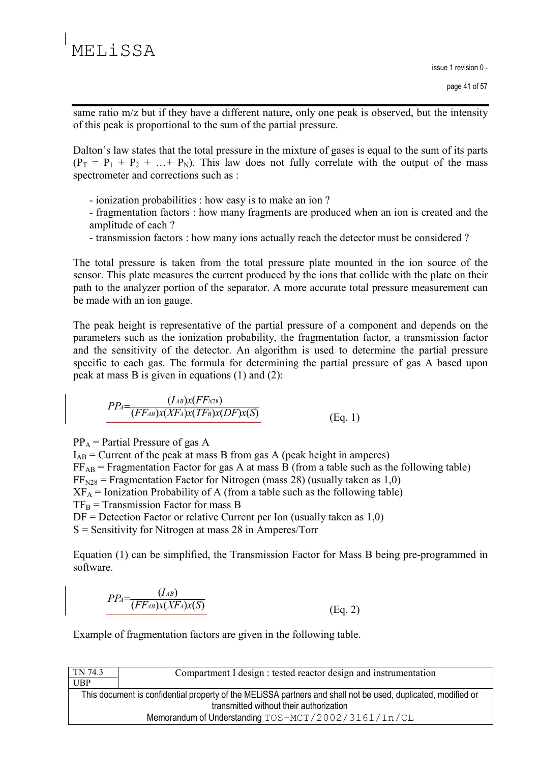same ratio m/z but if they have a different nature, only one peak is observed, but the intensity of this peak is proportional to the sum of the partial pressure.

Dalton's law states that the total pressure in the mixture of gases is equal to the sum of its parts  $(P_T = P_1 + P_2 + ... + P_N)$ . This law does not fully correlate with the output of the mass spectrometer and corrections such as :

- ionization probabilities : how easy is to make an ion?
- fragmentation factors : how many fragments are produced when an ion is created and the amplitude of each?
- transmission factors: how many ions actually reach the detector must be considered?

The total pressure is taken from the total pressure plate mounted in the ion source of the sensor. This plate measures the current produced by the ions that collide with the plate on their path to the analyzer portion of the separator. A more accurate total pressure measurement can be made with an ion gauge.

The peak height is representative of the partial pressure of a component and depends on the parameters such as the ionization probability, the fragmentation factor, a transmission factor and the sensitivity of the detector. An algorithm is used to determine the partial pressure specific to each gas. The formula for determining the partial pressure of gas A based upon peak at mass B is given in equations  $(1)$  and  $(2)$ :

$$
PP_A = \frac{(I_{AB})x(FF_{N28})}{(FF_{AB})x(KF_A)x(TF_B)x(DF)x(S)}
$$
(Eq. 1)

 $PP_A$  = Partial Pressure of gas A

 $I_{AB}$  = Current of the peak at mass B from gas A (peak height in amperes)  $FF_{AB}$  = Fragmentation Factor for gas A at mass B (from a table such as the following table)  $FF<sub>N28</sub> = Fragmentation Factor for Nitrogen (mass 28) (usually taken as 1,0)$  $XF_A = Ionization Probability of A (from a table such as the following table)$  $TF_B$  = Transmission Factor for mass B  $DF = Detection Factor$  or relative Current per Ion (usually taken as 1,0)  $S =$  Sensitivity for Nitrogen at mass 28 in Amperes/Torr

Equation (1) can be simplified, the Transmission Factor for Mass B being pre-programmed in software.

$$
PP_A = \frac{(I_{AB})}{(FF_{AB})x(XF_A)x(S)}
$$
(Eq. 2)

Example of fragmentation factors are given in the following table.

| Compartment I design : tested reactor design and instrumentation                                              |  |  |  |  |  |  |  |  |  |
|---------------------------------------------------------------------------------------------------------------|--|--|--|--|--|--|--|--|--|
|                                                                                                               |  |  |  |  |  |  |  |  |  |
| This document is confidential property of the MELISSA partners and shall not be used, duplicated, modified or |  |  |  |  |  |  |  |  |  |
| transmitted without their authorization                                                                       |  |  |  |  |  |  |  |  |  |
| Memorandum of Understanding TOS-MCT/2002/3161/In/CL                                                           |  |  |  |  |  |  |  |  |  |
|                                                                                                               |  |  |  |  |  |  |  |  |  |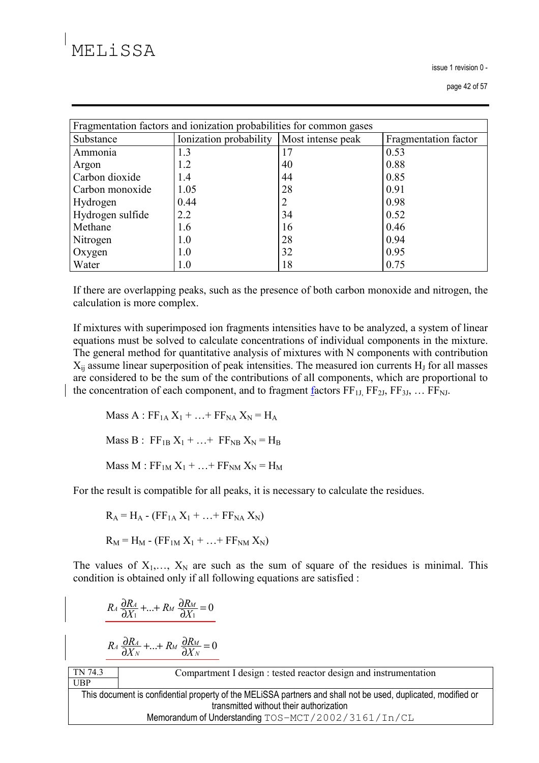issue 1 revision 0 -

| Fragmentation factors and ionization probabilities for common gases |                        |                   |                      |  |  |  |  |  |  |
|---------------------------------------------------------------------|------------------------|-------------------|----------------------|--|--|--|--|--|--|
| Substance                                                           | Ionization probability | Most intense peak | Fragmentation factor |  |  |  |  |  |  |
| Ammonia                                                             | 1.3                    | 17                | 0.53                 |  |  |  |  |  |  |
| Argon                                                               | 1.2                    | 40                | 0.88                 |  |  |  |  |  |  |
| Carbon dioxide                                                      | 1.4                    | 44                | 0.85                 |  |  |  |  |  |  |
| Carbon monoxide                                                     | 1.05                   | 28                | 0.91                 |  |  |  |  |  |  |
| Hydrogen                                                            | 0.44                   | 2                 | 0.98                 |  |  |  |  |  |  |
| Hydrogen sulfide                                                    | 2.2                    | 34                | 0.52                 |  |  |  |  |  |  |
| Methane                                                             | 1.6                    | 16                | 0.46                 |  |  |  |  |  |  |
| Nitrogen                                                            | 1.0                    | 28                | 0.94                 |  |  |  |  |  |  |
| Oxygen                                                              | 1.0                    | 32                | 0.95                 |  |  |  |  |  |  |
| Water                                                               | 1.0                    | 18                | 0.75                 |  |  |  |  |  |  |

If there are overlapping peaks, such as the presence of both carbon monoxide and nitrogen, the calculation is more complex.

If mixtures with superimposed ion fragments intensities have to be analyzed, a system of linear equations must be solved to calculate concentrations of individual components in the mixture. The general method for quantitative analysis of mixtures with N components with contribution  $X_{ii}$  assume linear superposition of peak intensities. The measured ion currents  $H_J$  for all masses are considered to be the sum of the contributions of all components, which are proportional to the concentration of each component, and to fragment factors  $FF_{1L}FF_{2I}$ ,  $FF_{3I}$ , ...  $FF_{NL}$ .

Mass A :  $FF_{1A}X_1 + ... + FF_{NA}X_N = H_A$ Mass B :  $FF_{1B}X_1 + ... + FF_{NB}X_N = H_B$ 

Mass M :  $FF_{1M}X_1 + ... + FF_{NM}X_N = H_M$ 

For the result is compatible for all peaks, it is necessary to calculate the residues.

$$
R_A = H_A - (FF_{1A} X_1 + ... + FF_{NA} X_N)
$$

 $R_M = H_M - (FF_{1M} X_1 + ... + FF_{NM} X_N)$ 

The values of  $X_1, \ldots, X_N$  are such as the sum of square of the residues is minimal. This condition is obtained only if all following equations are satisfied :

$$
R_A \frac{\partial R_A}{\partial X_1} + \ldots + R_M \frac{\partial R_M}{\partial X_1} = 0
$$

$$
R_A \frac{\partial R_A}{\partial X_N} + \ldots + R_M \frac{\partial R_M}{\partial X_N} = 0
$$

TN 74.3  $UBP$ 

Compartment I design : tested reactor design and instrumentation

This document is confidential property of the MELiSSA partners and shall not be used, duplicated, modified or transmitted without their authorization Memorandum of Understanding TOS-MCT/2002/3161/In/CL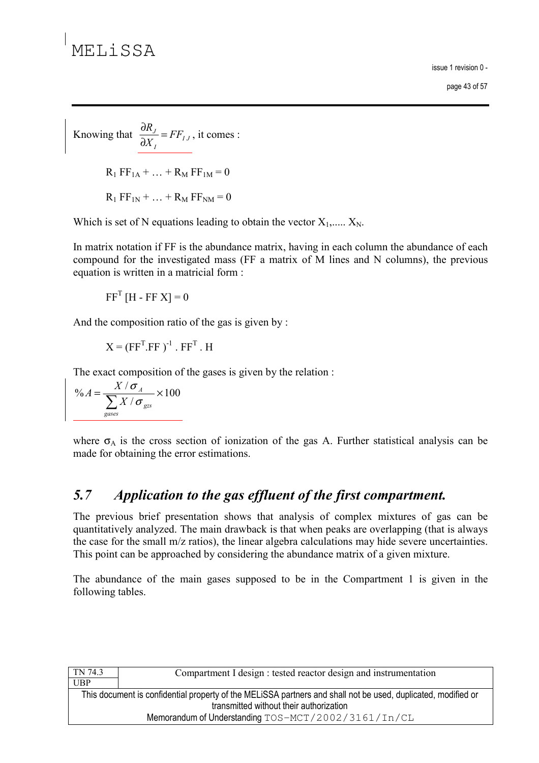issue 1 revision 0 page 43 of 57

Knowing that  $\frac{\partial R_J}{\partial X_I} = FF_{IJ}$ , it comes :

 $R_1 FF_{1A} + ... + R_M FF_{1M} = 0$ 

 $R_1 FF_{1N} + ... + R_M FF_{NM} = 0$ 

Which is set of N equations leading to obtain the vector  $X_1, \ldots, X_N$ .

In matrix notation if FF is the abundance matrix, having in each column the abundance of each compound for the investigated mass (FF a matrix of M lines and N columns), the previous equation is written in a matricial form :

 $FF^{T}$  [H - FF X] = 0

And the composition ratio of the gas is given by:

 $X = (FF<sup>T</sup> FF)^{-1} FF<sup>T</sup> H$ 

The exact composition of the gases is given by the relation :

$$
\%A = \frac{X / \sigma_A}{\sum_{\text{gases}} X / \sigma_{\text{gzs}}} \times 100
$$

where  $\sigma_A$  is the cross section of ionization of the gas A. Further statistical analysis can be made for obtaining the error estimations.

#### Application to the gas effluent of the first compartment.  $5.7$

The previous brief presentation shows that analysis of complex mixtures of gas can be quantitatively analyzed. The main drawback is that when peaks are overlapping (that is always the case for the small m/z ratios), the linear algebra calculations may hide severe uncertainties. This point can be approached by considering the abundance matrix of a given mixture.

The abundance of the main gases supposed to be in the Compartment 1 is given in the following tables.

| TN 74.3                                 | Compartment I design : tested reactor design and instrumentation                                              |  |  |  |  |  |  |  |  |  |
|-----------------------------------------|---------------------------------------------------------------------------------------------------------------|--|--|--|--|--|--|--|--|--|
| <b>UBP</b>                              |                                                                                                               |  |  |  |  |  |  |  |  |  |
|                                         | This document is confidential property of the MELISSA partners and shall not be used, duplicated, modified or |  |  |  |  |  |  |  |  |  |
| transmitted without their authorization |                                                                                                               |  |  |  |  |  |  |  |  |  |
|                                         | Memorandum of Understanding TOS-MCT/2002/3161/In/CL                                                           |  |  |  |  |  |  |  |  |  |
|                                         |                                                                                                               |  |  |  |  |  |  |  |  |  |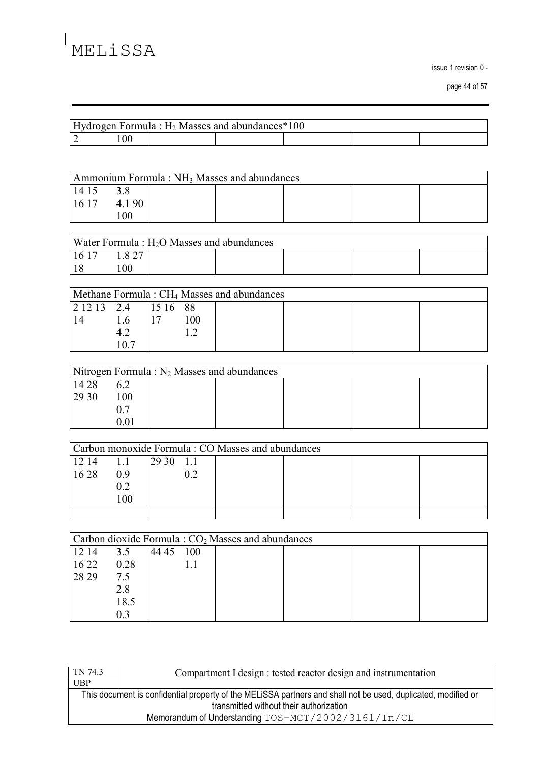issue 1 revision 0 -

page 44 of 57

| Hydrogen Formula : $H_2$ Masses and abundances * 100 |  |  |  |  |  |  |  |  |  |  |
|------------------------------------------------------|--|--|--|--|--|--|--|--|--|--|
|                                                      |  |  |  |  |  |  |  |  |  |  |

| Ammonium Formula: NH <sub>3</sub> Masses and abundances |       |  |  |  |  |  |  |  |  |  |
|---------------------------------------------------------|-------|--|--|--|--|--|--|--|--|--|
| 14 15                                                   |       |  |  |  |  |  |  |  |  |  |
| 16 17                                                   | 4.190 |  |  |  |  |  |  |  |  |  |
|                                                         | 00    |  |  |  |  |  |  |  |  |  |

| Water Formula : $H_2O$ Masses and abundances |        |  |  |  |  |  |  |  |  |
|----------------------------------------------|--------|--|--|--|--|--|--|--|--|
| 16 17                                        | 1.8 27 |  |  |  |  |  |  |  |  |
| l 19                                         | $00\,$ |  |  |  |  |  |  |  |  |

| Methane Formula: CH <sub>4</sub> Masses and abundances                                          |    |  |    |  |  |  |  |  |  |  |
|-------------------------------------------------------------------------------------------------|----|--|----|--|--|--|--|--|--|--|
| $\begin{array}{ c c c c c c c c } \hline 2 & 12 & 13 & 2.4 & 15 & 16 & 88 \ \hline \end{array}$ |    |  |    |  |  |  |  |  |  |  |
|                                                                                                 | 16 |  | 00 |  |  |  |  |  |  |  |
|                                                                                                 |    |  |    |  |  |  |  |  |  |  |
|                                                                                                 |    |  |    |  |  |  |  |  |  |  |

| Nitrogen Formula : $N_2$ Masses and abundances |     |  |  |  |  |  |  |  |  |  |
|------------------------------------------------|-----|--|--|--|--|--|--|--|--|--|
| 14 28                                          |     |  |  |  |  |  |  |  |  |  |
| 29 30                                          | 100 |  |  |  |  |  |  |  |  |  |
|                                                |     |  |  |  |  |  |  |  |  |  |
|                                                |     |  |  |  |  |  |  |  |  |  |

| Carbon monoxide Formula: CO Masses and abundances |     |             |  |  |  |  |  |  |  |  |
|---------------------------------------------------|-----|-------------|--|--|--|--|--|--|--|--|
| 12 14                                             | 1.1 | $12930$ 1.1 |  |  |  |  |  |  |  |  |
| 16 28                                             | 09  |             |  |  |  |  |  |  |  |  |
|                                                   | 0.2 |             |  |  |  |  |  |  |  |  |
|                                                   | 100 |             |  |  |  |  |  |  |  |  |
|                                                   |     |             |  |  |  |  |  |  |  |  |

| Carbon dioxide Formula: CO <sub>2</sub> Masses and abundances |      |       |     |  |  |  |  |  |  |  |
|---------------------------------------------------------------|------|-------|-----|--|--|--|--|--|--|--|
| 12 14                                                         | 3.5  | 44 45 | 100 |  |  |  |  |  |  |  |
| 16 22                                                         | 0.28 |       |     |  |  |  |  |  |  |  |
| 28 29                                                         | 7.5  |       |     |  |  |  |  |  |  |  |
|                                                               | 2.8  |       |     |  |  |  |  |  |  |  |
|                                                               | 18.5 |       |     |  |  |  |  |  |  |  |
|                                                               | 0.3  |       |     |  |  |  |  |  |  |  |

| TN 74.3 | Compartment I design : tested reactor design and instrumentation                                              |  |  |  |  |  |  |  |  |  |
|---------|---------------------------------------------------------------------------------------------------------------|--|--|--|--|--|--|--|--|--|
| UBP     |                                                                                                               |  |  |  |  |  |  |  |  |  |
|         | This document is confidential property of the MELISSA partners and shall not be used, duplicated, modified or |  |  |  |  |  |  |  |  |  |
|         | transmitted without their authorization                                                                       |  |  |  |  |  |  |  |  |  |
|         | Memorandum of Understanding TOS-MCT/2002/3161/In/CL                                                           |  |  |  |  |  |  |  |  |  |
|         |                                                                                                               |  |  |  |  |  |  |  |  |  |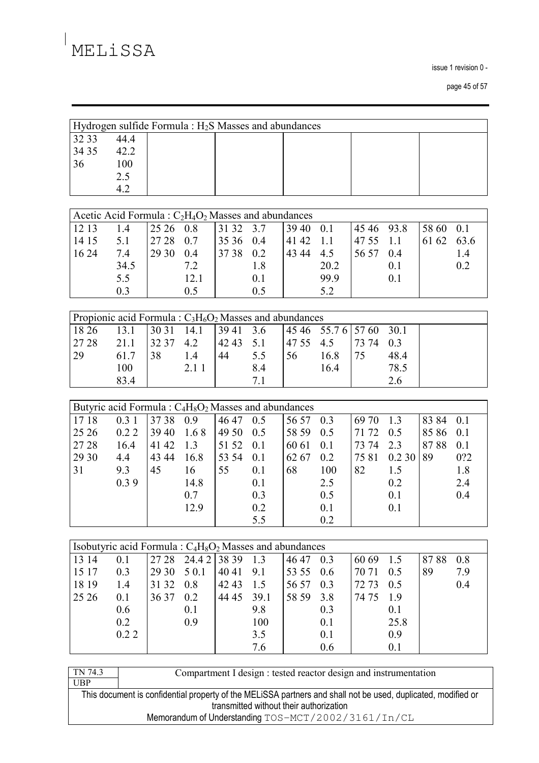issue 1 revision 0 -

page 45 of 57

|                                                                                          | Hydrogen sulfide Formula : H <sub>2</sub> S Masses and abundances |       |       |       |     |       |       |       |        |       |      |  |  |
|------------------------------------------------------------------------------------------|-------------------------------------------------------------------|-------|-------|-------|-----|-------|-------|-------|--------|-------|------|--|--|
| 32 33                                                                                    | 44.4                                                              |       |       |       |     |       |       |       |        |       |      |  |  |
| 34 35                                                                                    | 42.2                                                              |       |       |       |     |       |       |       |        |       |      |  |  |
| 36                                                                                       | 100                                                               |       |       |       |     |       |       |       |        |       |      |  |  |
|                                                                                          | 2.5                                                               |       |       |       |     |       |       |       |        |       |      |  |  |
|                                                                                          | 4.2                                                               |       |       |       |     |       |       |       |        |       |      |  |  |
|                                                                                          |                                                                   |       |       |       |     |       |       |       |        |       |      |  |  |
| Acetic Acid Formula: $C_2H_4O_2$ Masses and abundances                                   |                                                                   |       |       |       |     |       |       |       |        |       |      |  |  |
| 12 13                                                                                    | 1.4                                                               | 25 26 | 0.8   | 31 32 | 3.7 | 39 40 | 0.1   | 45 46 | 93.8   | 58 60 | 0.1  |  |  |
| 14 15                                                                                    | 5.1                                                               | 27 28 | 0.7   | 35 36 | 0.4 | 41 42 | 1.1   | 47 55 | 1.1    | 61 62 | 63.6 |  |  |
| 16 24                                                                                    | 7.4                                                               | 29 30 | 0.4   | 37 38 | 0.2 | 43 44 | 4.5   | 56 57 | 0.4    |       | 1.4  |  |  |
|                                                                                          | 34.5                                                              |       | 7.2   |       | 1.8 |       | 20.2  |       | 0.1    |       | 0.2  |  |  |
|                                                                                          | 5.5                                                               |       | 12.1  |       | 0.1 |       | 99.9  |       | 0.1    |       |      |  |  |
|                                                                                          | 0.3                                                               |       | 0.5   |       | 0.5 |       | 5.2   |       |        |       |      |  |  |
|                                                                                          |                                                                   |       |       |       |     |       |       |       |        |       |      |  |  |
| Propionic acid Formula: $C_3H_6O_2$ Masses and abundances                                |                                                                   |       |       |       |     |       |       |       |        |       |      |  |  |
| 18 26                                                                                    | 13.1                                                              | 30 31 | 14.1  | 39 41 | 3.6 | 45 46 | 55.76 | 57 60 | 30.1   |       |      |  |  |
| 27 28                                                                                    | 21.1                                                              | 32 37 | 4.2   | 42 43 | 5.1 | 47 55 | 4.5   | 73 74 | 0.3    |       |      |  |  |
| 29                                                                                       | 61.7                                                              | 38    | 1.4   | 44    | 5.5 | 56    | 16.8  | 75    | 48.4   |       |      |  |  |
|                                                                                          | 100                                                               |       | 2.1 1 |       | 8.4 |       | 16.4  |       | 78.5   |       |      |  |  |
|                                                                                          | 83.4                                                              |       |       |       | 7.1 |       |       |       | 2.6    |       |      |  |  |
|                                                                                          |                                                                   |       |       |       |     |       |       |       |        |       |      |  |  |
| Butyric acid Formula: C <sub>4</sub> H <sub>8</sub> O <sub>2</sub> Masses and abundances |                                                                   |       |       |       |     |       |       |       |        |       |      |  |  |
| 1718                                                                                     | 0.31                                                              | 3738  | 0.9   | 46 47 | 0.5 | 56 57 | 0.3   | 69 70 | 1.3    | 83 84 | 0.1  |  |  |
| 25 26                                                                                    | 0.22                                                              | 39 40 | 1.68  | 49 50 | 0.5 | 58 59 | 0.5   | 71 72 | 0.5    | 8586  | 0.1  |  |  |
| 27 28                                                                                    | 16.4                                                              | 41 42 | 1.3   | 51 52 | 0.1 | 60 61 | 0.1   | 73 74 | 2.3    | 8788  | 0.1  |  |  |
| 29 30                                                                                    | 4.4                                                               | 43 44 | 16.8  | 53 54 | 0.1 | 62 67 | 0.2   | 7581  | 0.2 30 | 89    | 0?2  |  |  |
| 31                                                                                       | 9.3                                                               | 45    | 16    | 55    | 0.1 | 68    | 100   | 82    | 1.5    |       | 1.8  |  |  |
|                                                                                          | 0.39                                                              |       | 14.8  |       | 0.1 |       | 2.5   |       | 0.2    |       | 2.4  |  |  |
|                                                                                          |                                                                   |       | 0.7   |       | 0.3 |       | 0.5   |       | 0.1    |       | 0.4  |  |  |
|                                                                                          |                                                                   |       | 12.9  |       | 0.2 |       | 0.1   |       | 0.1    |       |      |  |  |
|                                                                                          |                                                                   |       |       |       |     |       |       |       |        |       |      |  |  |

| Isobutyric acid Formula: $C_4H_8O_2$ Masses and abundances |      |       |                    |       |      |           |     |       |      |      |     |
|------------------------------------------------------------|------|-------|--------------------|-------|------|-----------|-----|-------|------|------|-----|
| 13 14                                                      | 0.1  |       | 27 28 24.4 2 38 39 |       | 1.3  | 46 47     | 0.3 | 60 69 | 1.5  | 8788 | 0.8 |
| 15 17                                                      | 0.3  | 29 30 | 5 0.1              | 4041  | 9.1  | 53 55 0.6 |     | 70 71 | 0.5  | 89   | 7.9 |
| 18 19                                                      | 1.4  | 31 32 | 0.8                | 42 43 | 1.5  | 56 57     | 0.3 | 72 73 | 0.5  |      | 0.4 |
| 25 26                                                      | 0.1  | 36 37 | 0.2                | 44 45 | 39.1 | 58 59     | 3.8 | 74 75 | 1.9  |      |     |
|                                                            | 0.6  |       | 0.1                |       | 9.8  |           | 0.3 |       | 0.1  |      |     |
|                                                            | 0.2  |       | 0.9                |       | 100  |           | 0.1 |       | 25.8 |      |     |
|                                                            | 0.22 |       |                    |       | 3.5  |           | 0.1 |       | 0.9  |      |     |
|                                                            |      |       |                    |       | 7.6  |           | 0.6 |       | 0.1  |      |     |

 $0.2$ 

 $5.5$ 

| TN 74.3 | Compartment I design : tested reactor design and instrumentation                                              |
|---------|---------------------------------------------------------------------------------------------------------------|
| UBP     |                                                                                                               |
|         | This document is confidential property of the MELISSA partners and shall not be used, duplicated, modified or |
|         | transmitted without their authorization                                                                       |
|         | Memorandum of Understanding TOS-MCT/2002/3161/In/CL                                                           |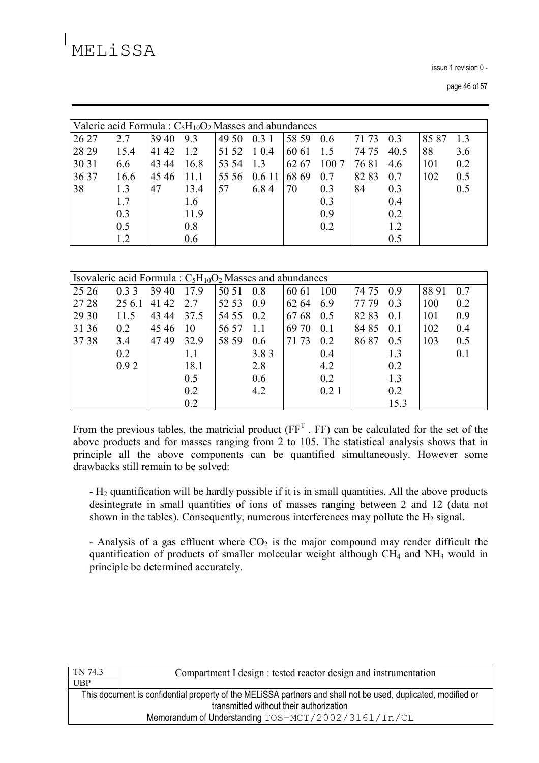issue 1 revision 0 -

|       | Valeric acid Formula : $C_5H_{10}O_2$ Masses and abundances |       |      |       |        |       |      |       |                |       |     |
|-------|-------------------------------------------------------------|-------|------|-------|--------|-------|------|-------|----------------|-------|-----|
| 26 27 | 2.7                                                         | 39 40 | 9.3  | 49 50 | 0.31   | 58 59 | 0.6  | 71 73 | 0 <sup>3</sup> | 85 87 | 1.3 |
| 28 29 | 15.4                                                        | 41 42 | 1.2  | 51 52 | 1 0.4  | 60 61 | 1.5  | 74 75 | 40.5           | 88    | 3.6 |
| 30 31 | 6.6                                                         | 43 44 | 16.8 | 53 54 | 1.3    | 62 67 | 1007 | 7681  | 4.6            | 101   | 0.2 |
| 36 37 | 16.6                                                        | 4546  | 11.1 | 55 56 | 0.6 11 | 68 69 | 0.7  | 8283  | 0.7            | 102   | 0.5 |
| 38    | 1.3                                                         | 47    | 13.4 | 57    | 6.84   | 70    | 0.3  | 84    | 0.3            |       | 0.5 |
|       | 1.7                                                         |       | 1.6  |       |        |       | 0.3  |       | 0.4            |       |     |
|       | 0.3                                                         |       | 11.9 |       |        |       | 0.9  |       | 0.2            |       |     |
|       | 0.5                                                         |       | 0.8  |       |        |       | 0.2  |       | 1.2            |       |     |
|       | 1.2                                                         |       | 0.6  |       |        |       |      |       | 0.5            |       |     |

|       | Isovaleric acid Formula: $C_5H_{10}O_2$ Masses and abundances |       |      |       |      |       |      |       |      |       |     |
|-------|---------------------------------------------------------------|-------|------|-------|------|-------|------|-------|------|-------|-----|
| 25 26 | 0.33                                                          | 39 40 | 17.9 | 50 51 | 0.8  | 60 61 | 100  | 74 75 | 0.9  | 88 91 | 0.7 |
| 27 28 | 25 6.1                                                        | 41 42 | 2.7  | 52 53 | 0.9  | 62 64 | 6.9  | 77 79 | 0.3  | 100   | 0.2 |
| 29 30 | 11.5                                                          | 43 44 | 37.5 | 54 55 | 0.2  | 6768  | 0.5  | 82 83 | 0.1  | 101   | 0.9 |
| 31 36 | 0.2                                                           | 45 46 | 10   | 56 57 | 1.1  | 69 70 | 0.1  | 84 85 | 0.1  | 102   | 0.4 |
| 37 38 | 3.4                                                           | 4749  | 32.9 | 58 59 | 0.6  | 71 73 | 0.2  | 86 87 | 0.5  | 103   | 0.5 |
|       | 0.2                                                           |       | 1.1  |       | 3.83 |       | 0.4  |       | 1.3  |       | 0.1 |
|       | 0.92                                                          |       | 18.1 |       | 2.8  |       | 4.2  |       | 0.2  |       |     |
|       |                                                               |       | 0.5  |       | 0.6  |       | 0.2  |       | 1.3  |       |     |
|       |                                                               |       | 0.2  |       | 4.2  |       | 0.21 |       | 0.2  |       |     |
|       |                                                               |       | 0.2  |       |      |       |      |       | 15.3 |       |     |

From the previous tables, the matricial product  $(FF<sup>T</sup>$ . FF) can be calculated for the set of the above products and for masses ranging from 2 to 105. The statistical analysis shows that in principle all the above components can be quantified simultaneously. However some drawbacks still remain to be solved:

 $-H<sub>2</sub>$  quantification will be hardly possible if it is in small quantities. All the above products desintegrate in small quantities of ions of masses ranging between 2 and 12 (data not shown in the tables). Consequently, numerous interferences may pollute the  $H_2$  signal.

- Analysis of a gas effluent where  $CO<sub>2</sub>$  is the major compound may render difficult the quantification of products of smaller molecular weight although  $CH<sub>4</sub>$  and  $NH<sub>3</sub>$  would in principle be determined accurately.

| TN 74.3                                             | Compartment I design : tested reactor design and instrumentation                                              |  |  |  |  |  |
|-----------------------------------------------------|---------------------------------------------------------------------------------------------------------------|--|--|--|--|--|
| <b>UBP</b>                                          |                                                                                                               |  |  |  |  |  |
|                                                     | This document is confidential property of the MELISSA partners and shall not be used, duplicated, modified or |  |  |  |  |  |
|                                                     | transmitted without their authorization                                                                       |  |  |  |  |  |
| Memorandum of Understanding TOS-MCT/2002/3161/In/CL |                                                                                                               |  |  |  |  |  |
|                                                     |                                                                                                               |  |  |  |  |  |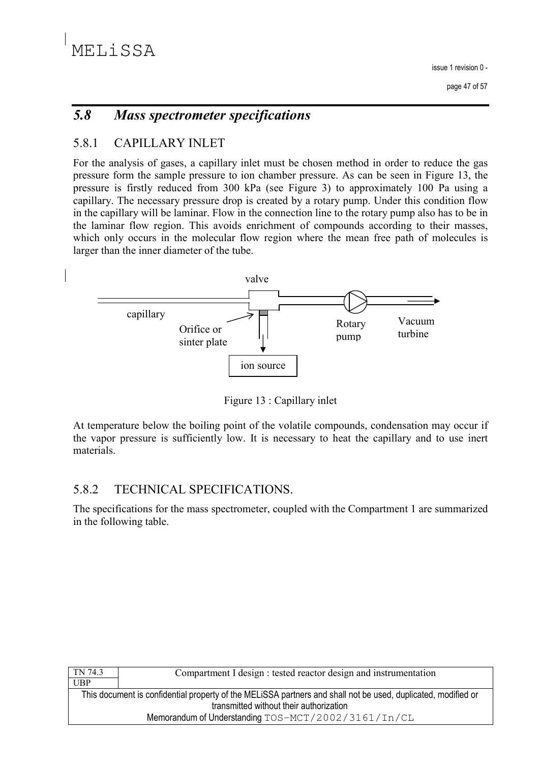### $5.8$ **Mass spectrometer specifications**

#### 5.8.1 **CAPILLARY INLET**

For the analysis of gases, a capillary inlet must be chosen method in order to reduce the gas pressure form the sample pressure to ion chamber pressure. As can be seen in Figure 13, the pressure is firstly reduced from 300 kPa (see Figure 3) to approximately 100 Pa using a capillary. The necessary pressure drop is created by a rotary pump. Under this condition flow in the capillary will be laminar. Flow in the connection line to the rotary pump also has to be in the laminar flow region. This avoids enrichment of compounds according to their masses, which only occurs in the molecular flow region where the mean free path of molecules is larger than the inner diameter of the tube.



Figure 13 : Capillary inlet

At temperature below the boiling point of the volatile compounds, condensation may occur if the vapor pressure is sufficiently low. It is necessary to heat the capillary and to use inert materials.

#### 5.8.2 TECHNICAL SPECIFICATIONS.

The specifications for the mass spectrometer, coupled with the Compartment 1 are summarized in the following table.

| TN 74.3                                             | Compartment I design : tested reactor design and instrumentation                                              |  |  |  |  |  |
|-----------------------------------------------------|---------------------------------------------------------------------------------------------------------------|--|--|--|--|--|
| <b>UBP</b>                                          |                                                                                                               |  |  |  |  |  |
|                                                     | This document is confidential property of the MELISSA partners and shall not be used, duplicated, modified or |  |  |  |  |  |
|                                                     | transmitted without their authorization                                                                       |  |  |  |  |  |
| Memorandum of Understanding TOS-MCT/2002/3161/In/CL |                                                                                                               |  |  |  |  |  |
|                                                     |                                                                                                               |  |  |  |  |  |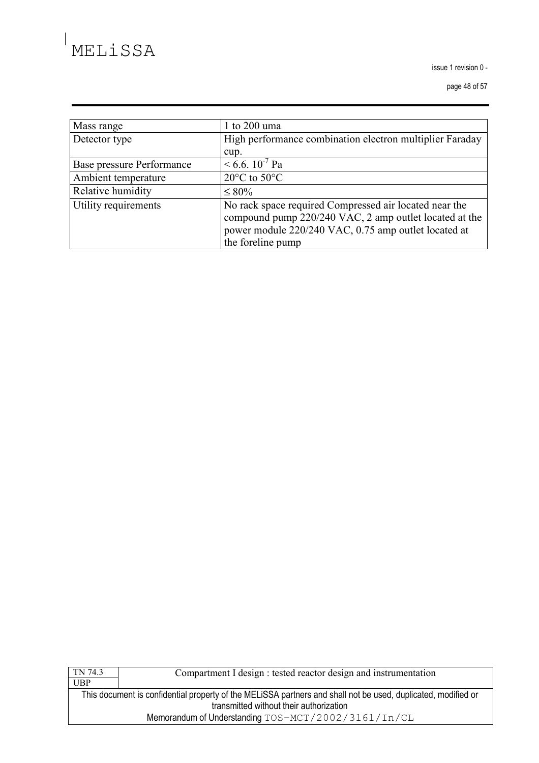issue 1 revision 0 -

page 48 of 57

| Mass range                | 1 to 200 uma                                                                                                                                                                                  |
|---------------------------|-----------------------------------------------------------------------------------------------------------------------------------------------------------------------------------------------|
| Detector type             | High performance combination electron multiplier Faraday                                                                                                                                      |
|                           | cup.                                                                                                                                                                                          |
| Base pressure Performance | $< 6.6$ . 10 <sup>-7</sup> Pa                                                                                                                                                                 |
| Ambient temperature       | $20^{\circ}$ C to $50^{\circ}$ C                                                                                                                                                              |
| Relative humidity         | $\leq 80\%$                                                                                                                                                                                   |
| Utility requirements      | No rack space required Compressed air located near the<br>compound pump 220/240 VAC, 2 amp outlet located at the<br>power module 220/240 VAC, 0.75 amp outlet located at<br>the foreline pump |

| TN 74.3                                                                                                       | Compartment I design : tested reactor design and instrumentation |  |  |  |  |  |  |
|---------------------------------------------------------------------------------------------------------------|------------------------------------------------------------------|--|--|--|--|--|--|
| UBP                                                                                                           |                                                                  |  |  |  |  |  |  |
| This document is confidential property of the MELISSA partners and shall not be used, duplicated, modified or |                                                                  |  |  |  |  |  |  |
|                                                                                                               | transmitted without their authorization                          |  |  |  |  |  |  |
|                                                                                                               | Memorandum of Understanding TOS-MCT/2002/3161/In/CL              |  |  |  |  |  |  |
|                                                                                                               |                                                                  |  |  |  |  |  |  |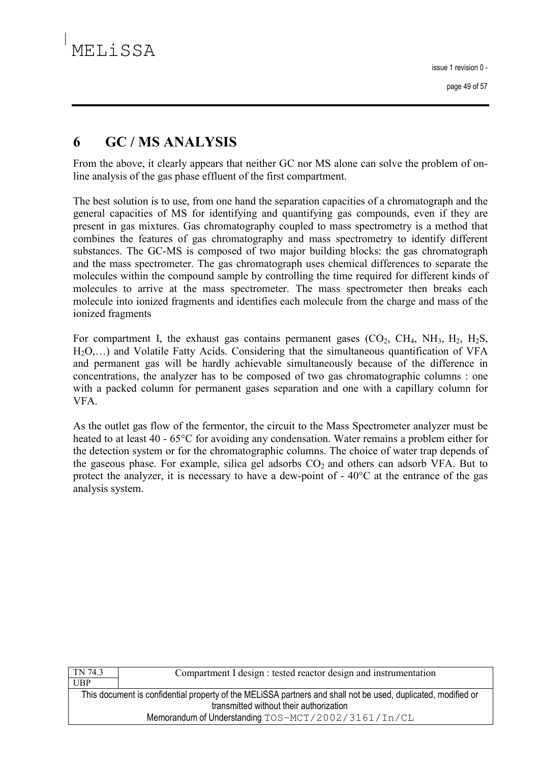### 6 **GC/MS ANALYSIS**

From the above, it clearly appears that neither GC nor MS alone can solve the problem of online analysis of the gas phase effluent of the first compartment.

The best solution is to use, from one hand the separation capacities of a chromatograph and the general capacities of MS for identifying and quantifying gas compounds, even if they are present in gas mixtures. Gas chromatography coupled to mass spectrometry is a method that combines the features of gas chromatography and mass spectrometry to identify different substances. The GC-MS is composed of two major building blocks: the gas chromatograph and the mass spectrometer. The gas chromatograph uses chemical differences to separate the molecules within the compound sample by controlling the time required for different kinds of molecules to arrive at the mass spectrometer. The mass spectrometer then breaks each molecule into ionized fragments and identifies each molecule from the charge and mass of the ionized fragments

For compartment I, the exhaust gas contains permanent gases  $(CO_2, CH_4, NH_3, H_2, H_2S,$ H<sub>2</sub>O,...) and Volatile Fatty Acids. Considering that the simultaneous quantification of VFA and permanent gas will be hardly achievable simultaneously because of the difference in concentrations, the analyzer has to be composed of two gas chromatographic columns: one with a packed column for permanent gases separation and one with a capillary column for VFA.

As the outlet gas flow of the fermentor, the circuit to the Mass Spectrometer analyzer must be heated to at least 40 - 65<sup>o</sup>C for avoiding any condensation. Water remains a problem either for the detection system or for the chromatographic columns. The choice of water trap depends of the gaseous phase. For example, silica gel adsorbs  $CO<sub>2</sub>$  and others can adsorb VFA. But to protect the analyzer, it is necessary to have a dew-point of  $-40^{\circ}$ C at the entrance of the gas analysis system.

| Compartment I design : tested reactor design and instrumentation                                              |  |  |  |  |  |
|---------------------------------------------------------------------------------------------------------------|--|--|--|--|--|
|                                                                                                               |  |  |  |  |  |
| This document is confidential property of the MELISSA partners and shall not be used, duplicated, modified or |  |  |  |  |  |
| transmitted without their authorization                                                                       |  |  |  |  |  |
| Memorandum of Understanding TOS-MCT/2002/3161/In/CL                                                           |  |  |  |  |  |
|                                                                                                               |  |  |  |  |  |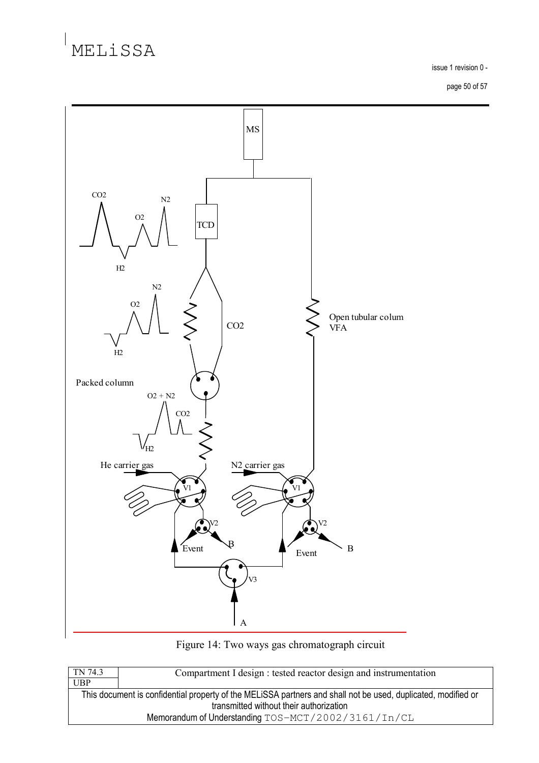issue 1 revision 0 -

page 50 of 57





| Compartment I design : tested reactor design and instrumentation                                              |  |  |  |  |  |
|---------------------------------------------------------------------------------------------------------------|--|--|--|--|--|
|                                                                                                               |  |  |  |  |  |
| This document is confidential property of the MELISSA partners and shall not be used, duplicated, modified or |  |  |  |  |  |
| transmitted without their authorization                                                                       |  |  |  |  |  |
| Memorandum of Understanding TOS-MCT/2002/3161/In/CL                                                           |  |  |  |  |  |
|                                                                                                               |  |  |  |  |  |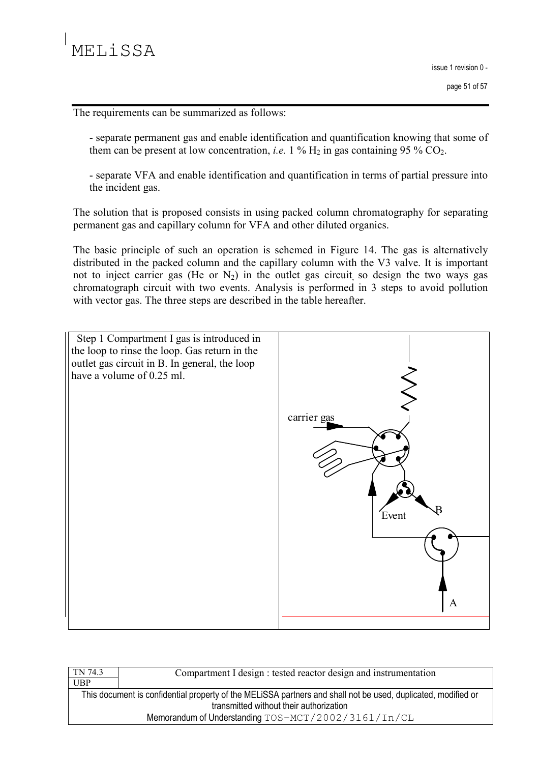The requirements can be summarized as follows:

- separate permanent gas and enable identification and quantification knowing that some of them can be present at low concentration, *i.e.* 1 %  $H_2$  in gas containing 95 %  $CO_2$ .

- separate VFA and enable identification and quantification in terms of partial pressure into the incident gas.

The solution that is proposed consists in using packed column chromatography for separating permanent gas and capillary column for VFA and other diluted organics.

The basic principle of such an operation is schemed in Figure 14. The gas is alternatively distributed in the packed column and the capillary column with the V3 valve. It is important not to inject carrier gas (He or  $N_2$ ) in the outlet gas circuit so design the two ways gas chromatograph circuit with two events. Analysis is performed in 3 steps to avoid pollution with vector gas. The three steps are described in the table hereafter.



| TN 74.3                                             | Compartment I design : tested reactor design and instrumentation                                              |  |  |  |  |  |
|-----------------------------------------------------|---------------------------------------------------------------------------------------------------------------|--|--|--|--|--|
| <b>UBP</b>                                          |                                                                                                               |  |  |  |  |  |
|                                                     | This document is confidential property of the MELISSA partners and shall not be used, duplicated, modified or |  |  |  |  |  |
|                                                     | transmitted without their authorization                                                                       |  |  |  |  |  |
| Memorandum of Understanding TOS-MCT/2002/3161/In/CL |                                                                                                               |  |  |  |  |  |
|                                                     |                                                                                                               |  |  |  |  |  |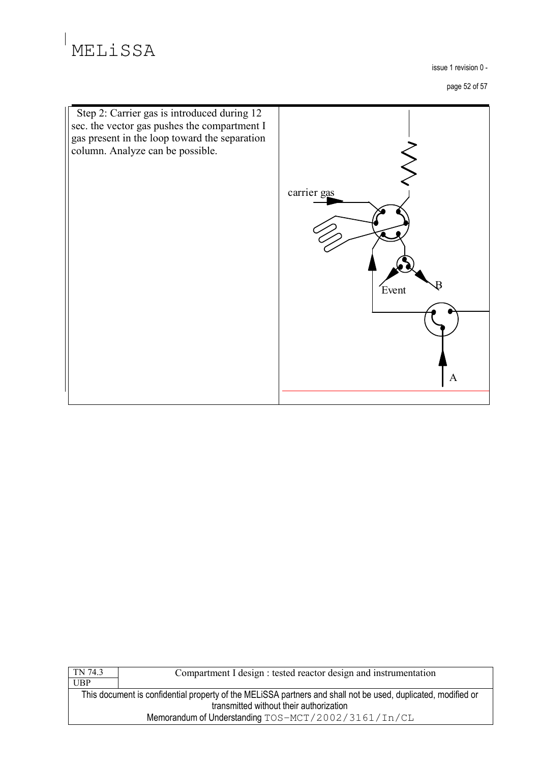issue 1 revision 0 -

page 52 of 57



| TN 74.3                                                                                                       | Compartment I design : tested reactor design and instrumentation |  |  |  |  |  |
|---------------------------------------------------------------------------------------------------------------|------------------------------------------------------------------|--|--|--|--|--|
| UBP                                                                                                           |                                                                  |  |  |  |  |  |
| This document is confidential property of the MELISSA partners and shall not be used, duplicated, modified or |                                                                  |  |  |  |  |  |
| transmitted without their authorization                                                                       |                                                                  |  |  |  |  |  |
| Memorandum of Understanding TOS-MCT/2002/3161/In/CL                                                           |                                                                  |  |  |  |  |  |
|                                                                                                               |                                                                  |  |  |  |  |  |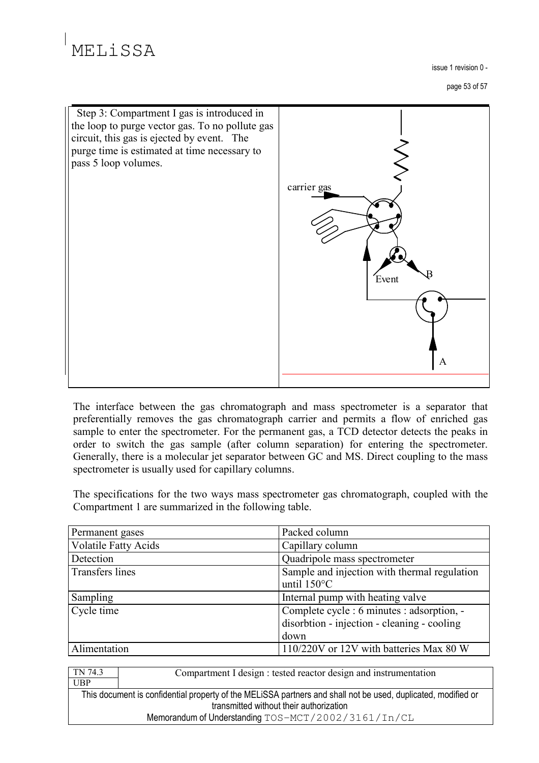# **MELISSA**

issue 1 revision 0 -

page 53 of 57



The interface between the gas chromatograph and mass spectrometer is a separator that preferentially removes the gas chromatograph carrier and permits a flow of enriched gas sample to enter the spectrometer. For the permanent gas, a TCD detector detects the peaks in order to switch the gas sample (after column separation) for entering the spectrometer. Generally, there is a molecular jet separator between GC and MS. Direct coupling to the mass spectrometer is usually used for capillary columns.

The specifications for the two ways mass spectrometer gas chromatograph, coupled with the Compartment 1 are summarized in the following table.

| Permanent gases             | Packed column                                                                                     |
|-----------------------------|---------------------------------------------------------------------------------------------------|
| <b>Volatile Fatty Acids</b> | Capillary column                                                                                  |
| Detection                   | Quadripole mass spectrometer                                                                      |
| <b>Transfers lines</b>      | Sample and injection with thermal regulation<br>until $150^{\circ}$ C                             |
| Sampling                    | Internal pump with heating valve                                                                  |
| Cycle time                  | Complete cycle : 6 minutes : adsorption, -<br>disorbtion - injection - cleaning - cooling<br>down |
| Alimentation                | 110/220V or 12V with batteries Max 80 W                                                           |

TN 74.3 Compartment I design : tested reactor design and instrumentation **UBP** 

This document is confidential property of the MELiSSA partners and shall not be used, duplicated, modified or transmitted without their authorization Memorandum of Understanding TOS-MCT/2002/3161/In/CL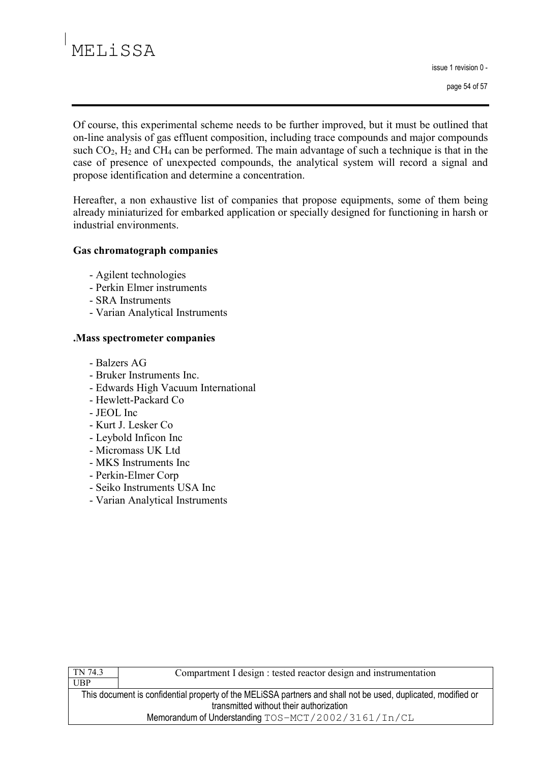# **MELISSA**

issue 1 revision 0 -

page 54 of 57

Of course, this experimental scheme needs to be further improved, but it must be outlined that on-line analysis of gas effluent composition, including trace compounds and major compounds such  $CO_2$ ,  $H_2$  and  $CH_4$  can be performed. The main advantage of such a technique is that in the case of presence of unexpected compounds, the analytical system will record a signal and propose identification and determine a concentration.

Hereafter, a non exhaustive list of companies that propose equipments, some of them being already miniaturized for embarked application or specially designed for functioning in harsh or industrial environments.

### **Gas chromatograph companies**

- Agilent technologies
- Perkin Elmer instruments
- SRA Instruments
- Varian Analytical Instruments

## . Mass spectrometer companies

- Balzers AG
- Bruker Instruments Inc.
- Edwards High Vacuum International
- Hewlett-Packard Co
- JEOL Inc.
- Kurt J. Lesker Co
- Levbold Inficon Inc
- Micromass UK Ltd
- MKS Instruments Inc
- Perkin-Elmer Corp
- Seiko Instruments USA Inc
- Varian Analytical Instruments

| TN 74.3                                                                                                       | Compartment I design : tested reactor design and instrumentation |
|---------------------------------------------------------------------------------------------------------------|------------------------------------------------------------------|
| UBP                                                                                                           |                                                                  |
| This document is confidential property of the MELISSA partners and shall not be used, duplicated, modified or |                                                                  |
| transmitted without their authorization                                                                       |                                                                  |
| Memorandum of Understanding TOS-MCT/2002/3161/In/CL                                                           |                                                                  |
|                                                                                                               |                                                                  |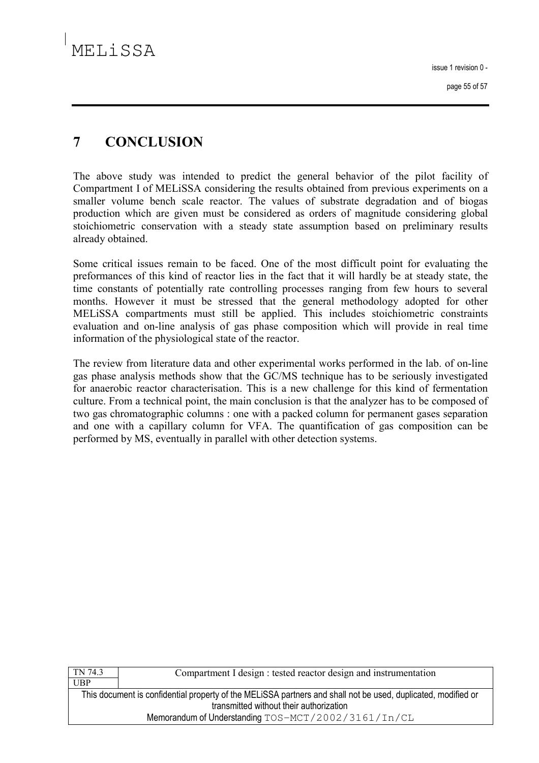### $\overline{7}$ **CONCLUSION**

The above study was intended to predict the general behavior of the pilot facility of Compartment I of MELISSA considering the results obtained from previous experiments on a smaller volume bench scale reactor. The values of substrate degradation and of biogas production which are given must be considered as orders of magnitude considering global stoichiometric conservation with a steady state assumption based on preliminary results already obtained.

Some critical issues remain to be faced. One of the most difficult point for evaluating the preformances of this kind of reactor lies in the fact that it will hardly be at steady state, the time constants of potentially rate controlling processes ranging from few hours to several months. However it must be stressed that the general methodology adopted for other MELISSA compartments must still be applied. This includes stoichiometric constraints evaluation and on-line analysis of gas phase composition which will provide in real time information of the physiological state of the reactor.

The review from literature data and other experimental works performed in the lab. of on-line gas phase analysis methods show that the GC/MS technique has to be seriously investigated for anaerobic reactor characterisation. This is a new challenge for this kind of fermentation culture. From a technical point, the main conclusion is that the analyzer has to be composed of two gas chromatographic columns: one with a packed column for permanent gases separation and one with a capillary column for VFA. The quantification of gas composition can be performed by MS, eventually in parallel with other detection systems.

| TN 74.3                                                                                                       | Compartment I design : tested reactor design and instrumentation |
|---------------------------------------------------------------------------------------------------------------|------------------------------------------------------------------|
| UBP                                                                                                           |                                                                  |
| This document is confidential property of the MELISSA partners and shall not be used, duplicated, modified or |                                                                  |
| transmitted without their authorization                                                                       |                                                                  |
| Memorandum of Understanding TOS-MCT/2002/3161/In/CL                                                           |                                                                  |
|                                                                                                               |                                                                  |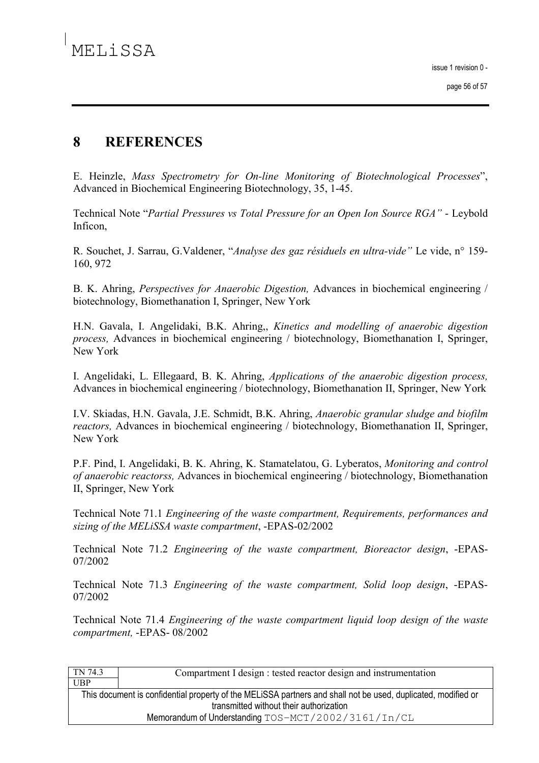#### $\mathbf{8}$ **REFERENCES**

E. Heinzle, Mass Spectrometry for On-line Monitoring of Biotechnological Processes", Advanced in Biochemical Engineering Biotechnology, 35, 1-45.

Technical Note "Partial Pressures vs Total Pressure for an Open Ion Source RGA" - Leybold Inficon.

R. Souchet, J. Sarrau, G.Valdener, "Analyse des gaz résiduels en ultra-vide" Le vide, n° 159-160, 972

B. K. Ahring, *Perspectives for Anaerobic Digestion*, Advances in biochemical engineering / biotechnology, Biomethanation I, Springer, New York

H.N. Gavala, I. Angelidaki, B.K. Ahring, *Kinetics and modelling of anaerobic digestion process*, Advances in biochemical engineering / biotechnology, Biomethanation I, Springer, New York

I. Angelidaki, L. Ellegaard, B. K. Ahring, Applications of the anaerobic digestion process, Advances in biochemical engineering / biotechnology, Biomethanation II, Springer, New York

I.V. Skiadas, H.N. Gavala, J.E. Schmidt, B.K. Ahring, Anaerobic granular sludge and biofilm *reactors*, Advances in biochemical engineering / biotechnology, Biomethanation II, Springer, New York

P.F. Pind, I. Angelidaki, B. K. Ahring, K. Stamatelatou, G. Lyberatos, Monitoring and control of anaerobic reactorss, Advances in biochemical engineering / biotechnology, Biomethanation II, Springer, New York

Technical Note 71.1 Engineering of the waste compartment, Requirements, performances and sizing of the MELiSSA waste compartment, -EPAS-02/2002

Technical Note 71.2 Engineering of the waste compartment, Bioreactor design, -EPAS-07/2002

Technical Note 71.3 Engineering of the waste compartment, Solid loop design, -EPAS-07/2002

Technical Note 71.4 *Engineering of the waste compartment liquid loop design of the waste* compartment, -EPAS-08/2002

| TN 74.3                                                                                                       | Compartment I design : tested reactor design and instrumentation |
|---------------------------------------------------------------------------------------------------------------|------------------------------------------------------------------|
| UBP                                                                                                           |                                                                  |
| This document is confidential property of the MELISSA partners and shall not be used, duplicated, modified or |                                                                  |
| transmitted without their authorization                                                                       |                                                                  |
| Memorandum of Understanding $TOS-MCT/2002/3161/In/CL$                                                         |                                                                  |